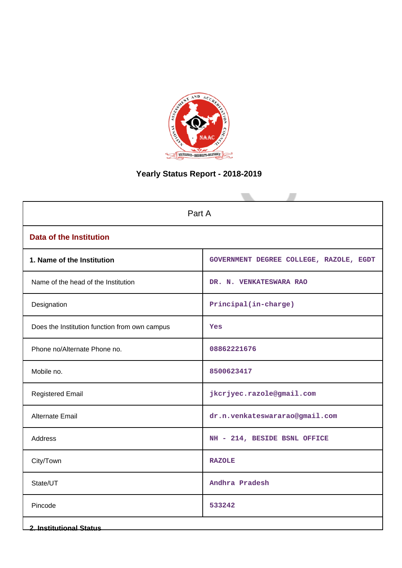

# **Yearly Status Report - 2018-2019**

| Part A                                        |                                         |  |  |  |
|-----------------------------------------------|-----------------------------------------|--|--|--|
| <b>Data of the Institution</b>                |                                         |  |  |  |
| 1. Name of the Institution                    | GOVERNMENT DEGREE COLLEGE, RAZOLE, EGDT |  |  |  |
| Name of the head of the Institution           | DR. N. VENKATESWARA RAO                 |  |  |  |
| Designation                                   | Principal(in-charge)                    |  |  |  |
| Does the Institution function from own campus | Yes                                     |  |  |  |
| Phone no/Alternate Phone no.                  | 08862221676                             |  |  |  |
| Mobile no.                                    | 8500623417                              |  |  |  |
| <b>Registered Email</b>                       | jkcrjyec.razole@gmail.com               |  |  |  |
| Alternate Email                               | dr.n.venkateswararao@gmail.com          |  |  |  |
| <b>Address</b>                                | NH - 214, BESIDE BSNL OFFICE            |  |  |  |
| City/Town                                     | <b>RAZOLE</b>                           |  |  |  |
| State/UT                                      | Andhra Pradesh                          |  |  |  |
| Pincode                                       | 533242                                  |  |  |  |
| <b>2. Institutional Status</b>                |                                         |  |  |  |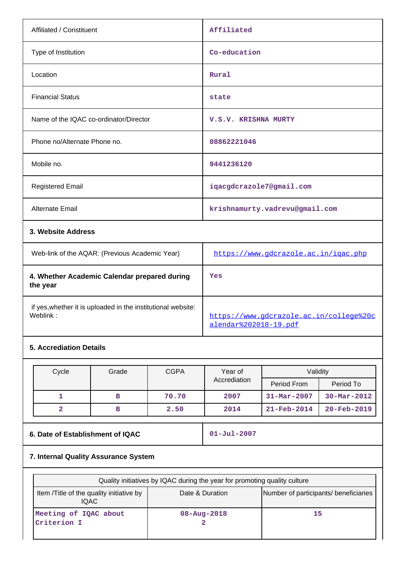| Affiliated / Constituent                                 | Affiliated                           |
|----------------------------------------------------------|--------------------------------------|
| Type of Institution                                      | Co-education                         |
| Location                                                 | Rural                                |
| <b>Financial Status</b>                                  | state                                |
| Name of the IQAC co-ordinator/Director                   | V.S.V. KRISHNA MURTY                 |
| Phone no/Alternate Phone no.                             | 08862221046                          |
| Mobile no.                                               | 9441236120                           |
| <b>Registered Email</b>                                  | iqacgdcrazole7@gmail.com             |
| <b>Alternate Email</b>                                   | krishnamurty.vadrevu@gmail.com       |
| 3. Website Address                                       |                                      |
| Web-link of the AQAR: (Previous Academic Year)           | https://www.gdcrazole.ac.in/igac.php |
| 4. Whether Academic Calendar prepared during<br>the year | Yes                                  |
|                                                          |                                      |

if yes,whether it is uploaded in the institutional website:

# **5. Accrediation Details**

| Cycle | Grade | <b>CGPA</b><br>Validity<br>Year of |              |                          |                          |
|-------|-------|------------------------------------|--------------|--------------------------|--------------------------|
|       |       |                                    | Accrediation | Period From              | Period To                |
|       | в     | 70.70                              | 2007         | $31 - \text{Mar} - 2007$ | $30 - Mar - 2012$        |
|       | в     | 2.50                               | 2014         | $21 - \text{Feb} - 2014$ | $20 - \text{Feb} - 2019$ |

# **6. Date of Establishment of IQAC 01-Jul-2007**

[https://www.gdcrazole.ac.in/college%20c](https://www.gdcrazole.ac.in/college%20calendar%202018-19.pdf)

[alendar%202018-19.pdf](https://www.gdcrazole.ac.in/college%20calendar%202018-19.pdf)

# **7. Internal Quality Assurance System**

| Quality initiatives by IQAC during the year for promoting quality culture                                            |                   |    |  |  |  |
|----------------------------------------------------------------------------------------------------------------------|-------------------|----|--|--|--|
| Number of participants/ beneficiaries<br>Item / Title of the quality initiative by<br>Date & Duration<br><b>IQAC</b> |                   |    |  |  |  |
| Meeting of IQAC about<br>Criterion I                                                                                 | $08 - Aug - 2018$ | 15 |  |  |  |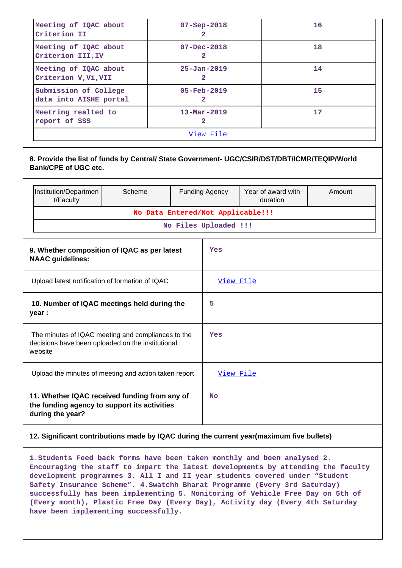| Meeting of IQAC about<br>Criterion II                                 | $07 - Sep - 2018$<br>2        | 16 |  |  |
|-----------------------------------------------------------------------|-------------------------------|----|--|--|
| Meeting of IQAC about<br>Criterion III, IV                            | $07 - Dec - 2018$             | 18 |  |  |
| Meeting of IQAC about<br>Criterion V, Vi, VII                         | $25 - Jan - 2019$<br>2        | 14 |  |  |
| Submission of College<br>data into AISHE portal                       | $05 - \text{Feb} - 2019$<br>2 | 15 |  |  |
| Meetring realted to<br>$13 - \text{Mar} - 2019$<br>report of SSS<br>2 |                               | 17 |  |  |
| View File                                                             |                               |    |  |  |

|                                                                                                                    | 8. Provide the list of funds by Central/ State Government- UGC/CSIR/DST/DBT/ICMR/TEQIP/World<br><b>Bank/CPE of UGC etc.</b> |                                   |           |                       |                                |        |
|--------------------------------------------------------------------------------------------------------------------|-----------------------------------------------------------------------------------------------------------------------------|-----------------------------------|-----------|-----------------------|--------------------------------|--------|
|                                                                                                                    | Institution/Departmen<br>t/Faculty                                                                                          | Scheme                            |           | <b>Funding Agency</b> | Year of award with<br>duration | Amount |
|                                                                                                                    |                                                                                                                             | No Data Entered/Not Applicable!!! |           |                       |                                |        |
|                                                                                                                    |                                                                                                                             |                                   |           | No Files Uploaded !!! |                                |        |
| 9. Whether composition of IQAC as per latest<br><b>NAAC</b> guidelines:                                            |                                                                                                                             |                                   |           | Yes                   |                                |        |
|                                                                                                                    | Upload latest notification of formation of IQAC                                                                             |                                   |           | View File             |                                |        |
| 10. Number of IQAC meetings held during the<br>year :                                                              |                                                                                                                             |                                   | 5         |                       |                                |        |
| The minutes of IQAC meeting and compliances to the<br>decisions have been uploaded on the institutional<br>website |                                                                                                                             |                                   | Yes       |                       |                                |        |
| Upload the minutes of meeting and action taken report                                                              |                                                                                                                             |                                   | View File |                       |                                |        |
| 11. Whether IQAC received funding from any of<br>the funding agency to support its activities<br>during the year?  |                                                                                                                             |                                   | <b>No</b> |                       |                                |        |

# **12. Significant contributions made by IQAC during the current year(maximum five bullets)**

**1.Students Feed back forms have been taken monthly and been analysed 2. Encouraging the staff to impart the latest developments by attending the faculty development programmes 3. All I and II year students covered under "Student Safety Insurance Scheme". 4.Swatchh Bharat Programme (Every 3rd Saturday) successfully has been implementing 5. Monitoring of Vehicle Free Day on 5th of (Every month), Plastic Free Day (Every Day), Activity day (Every 4th Saturday have been implementing successfully.**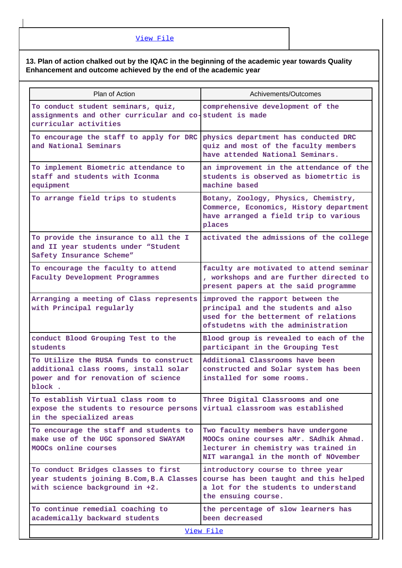# **13. Plan of action chalked out by the IQAC in the beginning of the academic year towards Quality Enhancement and outcome achieved by the end of the academic year**

| Plan of Action                                                                                                                   | Achivements/Outcomes                                                                                                                                          |
|----------------------------------------------------------------------------------------------------------------------------------|---------------------------------------------------------------------------------------------------------------------------------------------------------------|
| To conduct student seminars, quiz,<br>assignments and other curricular and co-student is made<br>curricular activities           | comprehensive development of the                                                                                                                              |
| To encourage the staff to apply for DRC<br>and National Seminars                                                                 | physics department has conducted DRC<br>quiz and most of the faculty members<br>have attended National Seminars.                                              |
| To implement Biometric attendance to<br>staff and students with Iconma<br>equipment                                              | an improvement in the attendance of the<br>students is observed as biometrtic is<br>machine based                                                             |
| To arrange field trips to students                                                                                               | Botany, Zoology, Physics, Chemistry,<br>Commerce, Economics, History department<br>have arranged a field trip to various<br>places                            |
| To provide the insurance to all the I<br>and II year students under "Student<br>Safety Insurance Scheme"                         | activated the admissions of the college                                                                                                                       |
| To encourage the faculty to attend<br>Faculty Development Programmes                                                             | faculty are motivated to attend seminar<br>, workshops and are further directed to<br>present papers at the said programme                                    |
| Arranging a meeting of Class represents<br>with Principal regularly                                                              | improved the rapport between the<br>principal and the students and also<br>used for the betterment of relations<br>ofstudetns with the administration         |
| conduct Blood Grouping Test to the<br>students                                                                                   | Blood group is revealed to each of the<br>participant in the Grouping Test                                                                                    |
| To Utilize the RUSA funds to construct<br>additional class rooms, install solar<br>power and for renovation of science<br>block. | Additional Classrooms have been<br>constructed and Solar system has been<br>installed for some rooms.                                                         |
| To establish Virtual class room to<br>expose the students to resource persons<br>in the specialized areas                        | Three Digital Classrooms and one<br>virtual classroom was established                                                                                         |
| To encourage the staff and students to<br>make use of the UGC sponsored SWAYAM<br>MOOCs online courses                           | Two faculty members have undergone<br>MOOCs onine courses aMr. SAdhik Ahmad.<br>lecturer in chemistry was trained in<br>NIT warangal in the month of NOvember |
| To conduct Bridges classes to first<br>year students joining B.Com, B.A Classes<br>with science background in +2.                | introductory course to three year<br>course has been taught and this helped<br>a lot for the students to understand<br>the ensuing course.                    |
| To continue remedial coaching to<br>academically backward students                                                               | the percentage of slow learners has<br>been decreased<br><u>View File</u>                                                                                     |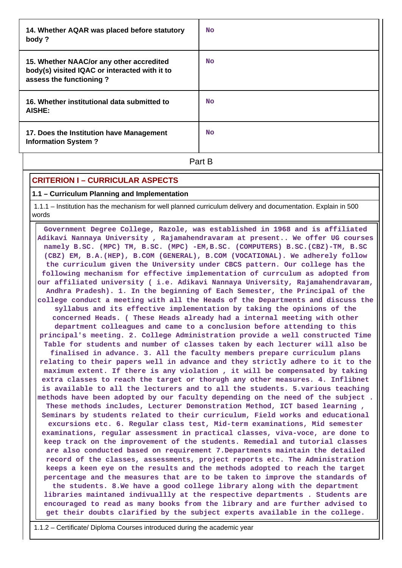| 14. Whether AQAR was placed before statutory<br>body ?                                                               | <b>No</b> |
|----------------------------------------------------------------------------------------------------------------------|-----------|
| 15. Whether NAAC/or any other accredited<br>body(s) visited IQAC or interacted with it to<br>assess the functioning? | <b>No</b> |
| 16. Whether institutional data submitted to<br>AISHE:                                                                | <b>No</b> |
| 17. Does the Institution have Management<br><b>Information System?</b>                                               | <b>No</b> |

**Part B** 

# **CRITERION I – CURRICULAR ASPECTS**

### **1.1 – Curriculum Planning and Implementation**

 1.1.1 – Institution has the mechanism for well planned curriculum delivery and documentation. Explain in 500 words

 **Government Degree College, Razole, was established in 1968 and is affiliated Adikavi Nannaya University , Rajamahendravaram at present.. We offer UG courses namely B.SC. (MPC) TM, B.SC. (MPC) -EM,B.SC. (COMPUTERS) B.SC.(CBZ)-TM, B.SC (CBZ) EM, B.A.(HEP), B.COM (GENERAL), B.COM (VOCATIONAL). We adherely follow the curriculum given the University under CBCS pattern. Our college has the following mechanism for effective implementation of currculum as adopted from our affiliated university ( i.e. Adikavi Nannaya University, Rajamahendravaram, Andhra Pradesh). 1. In the beginning of Each Semester, the Principal of the college conduct a meeting with all the Heads of the Departments and discuss the syllabus and its effective implementation by taking the opinions of the concerned Heads. ( These Heads already had a internal meeting with other department colleagues and came to a conclusion before attending to this principal's meeting. 2. College Administration provide a well constructed Time Table for students and number of classes taken by each lecturer will also be finalised in advance. 3. All the faculty members prepare curriculum plans relating to their papers well in advance and they strictly adhere to it to the maximum extent. If there is any violation , it will be compensated by taking extra classes to reach the target or thorugh any other measures. 4. Inflibnet is available to all the lecturers and to all the students. 5.various teaching methods have been adopted by our faculty depending on the need of the subject . These methods includes, Lecturer Demonstration Method, ICT based learning , Seminars by students related to their curriculum, Field works and educational excursions etc. 6. Regular class test, Mid-term examinations, Mid semester examinations, regular assessment in practical classes, viva-voce, are done to keep track on the improvement of the students. Remedial and tutorial classes are also conducted based on requirement 7.Departments maintain the detailed record of the classes, assessments, project reports etc. The Administration keeps a keen eye on the results and the methods adopted to reach the target percentage and the measures that are to be taken to improve the standards of the students. 8.We have a good college library along with the department libraries maintaned indivuallly at the respective departments . Students are encouraged to read as many books from the library and are further advised to get their doubts clarified by the subject experts available in the college.**

1.1.2 – Certificate/ Diploma Courses introduced during the academic year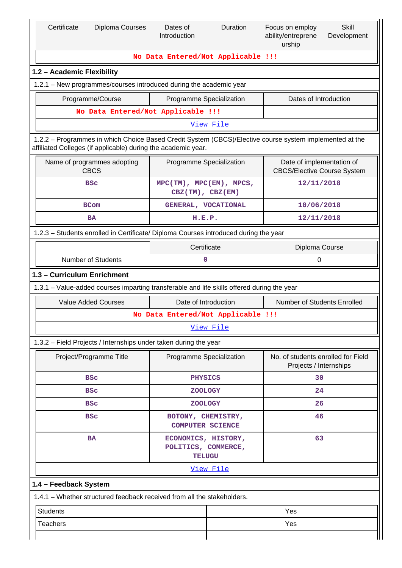| Certificate<br><b>Diploma Courses</b>                                                                                                                                    | Dates of<br>Duration<br>Introduction                              |           | Focus on employ<br>ability/entreprene<br>urship                 | <b>Skill</b><br>Development |  |
|--------------------------------------------------------------------------------------------------------------------------------------------------------------------------|-------------------------------------------------------------------|-----------|-----------------------------------------------------------------|-----------------------------|--|
|                                                                                                                                                                          | No Data Entered/Not Applicable !!!                                |           |                                                                 |                             |  |
| 1.2 - Academic Flexibility                                                                                                                                               |                                                                   |           |                                                                 |                             |  |
| 1.2.1 - New programmes/courses introduced during the academic year                                                                                                       |                                                                   |           |                                                                 |                             |  |
| Programme/Course                                                                                                                                                         | Programme Specialization                                          |           |                                                                 |                             |  |
| No Data Entered/Not Applicable !!!                                                                                                                                       |                                                                   |           |                                                                 |                             |  |
|                                                                                                                                                                          |                                                                   | View File |                                                                 |                             |  |
| 1.2.2 - Programmes in which Choice Based Credit System (CBCS)/Elective course system implemented at the<br>affiliated Colleges (if applicable) during the academic year. |                                                                   |           |                                                                 |                             |  |
| Name of programmes adopting<br><b>CBCS</b>                                                                                                                               | Programme Specialization                                          |           | Date of implementation of<br><b>CBCS/Elective Course System</b> |                             |  |
| <b>BSC</b>                                                                                                                                                               | $MPC(TM)$ , $MPC(EM)$ , $MPCS$ ,<br>$CBZ(TM)$ , $CBZ(EM)$         |           | 12/11/2018                                                      |                             |  |
| <b>BCom</b>                                                                                                                                                              | GENERAL, VOCATIONAL                                               |           | 10/06/2018                                                      |                             |  |
| BA                                                                                                                                                                       | H.E.P.                                                            |           | 12/11/2018                                                      |                             |  |
| 1.2.3 - Students enrolled in Certificate/ Diploma Courses introduced during the year                                                                                     |                                                                   |           |                                                                 |                             |  |
|                                                                                                                                                                          | Certificate                                                       |           | Diploma Course                                                  |                             |  |
| <b>Number of Students</b><br>0<br>0                                                                                                                                      |                                                                   |           |                                                                 |                             |  |
| 1.3 - Curriculum Enrichment                                                                                                                                              |                                                                   |           |                                                                 |                             |  |
| 1.3.1 – Value-added courses imparting transferable and life skills offered during the year                                                                               |                                                                   |           |                                                                 |                             |  |
| <b>Value Added Courses</b>                                                                                                                                               | Date of Introduction                                              |           | <b>Number of Students Enrolled</b>                              |                             |  |
|                                                                                                                                                                          | No Data Entered/Not Applicable !!!                                |           |                                                                 |                             |  |
|                                                                                                                                                                          |                                                                   | View File |                                                                 |                             |  |
| 1.3.2 - Field Projects / Internships under taken during the year                                                                                                         |                                                                   |           |                                                                 |                             |  |
| Project/Programme Title                                                                                                                                                  | Programme Specialization                                          |           | No. of students enrolled for Field<br>Projects / Internships    |                             |  |
| <b>BSC</b>                                                                                                                                                               | <b>PHYSICS</b>                                                    |           | 30                                                              |                             |  |
| <b>BSC</b>                                                                                                                                                               | <b>ZOOLOGY</b>                                                    |           | 24                                                              |                             |  |
| <b>BSC</b>                                                                                                                                                               | <b>ZOOLOGY</b>                                                    |           | 26                                                              |                             |  |
| <b>BSC</b>                                                                                                                                                               | BOTONY, CHEMISTRY,<br><b>COMPUTER SCIENCE</b>                     |           | 46                                                              |                             |  |
| <b>BA</b>                                                                                                                                                                | 63<br>ECONOMICS, HISTORY,<br>POLITICS, COMMERCE,<br><b>TELUGU</b> |           |                                                                 |                             |  |
|                                                                                                                                                                          |                                                                   | View File |                                                                 |                             |  |
| 1.4 - Feedback System                                                                                                                                                    |                                                                   |           |                                                                 |                             |  |
| 1.4.1 - Whether structured feedback received from all the stakeholders.                                                                                                  |                                                                   |           |                                                                 |                             |  |
| <b>Students</b>                                                                                                                                                          |                                                                   |           | Yes                                                             |                             |  |
| <b>Teachers</b>                                                                                                                                                          |                                                                   | Yes       |                                                                 |                             |  |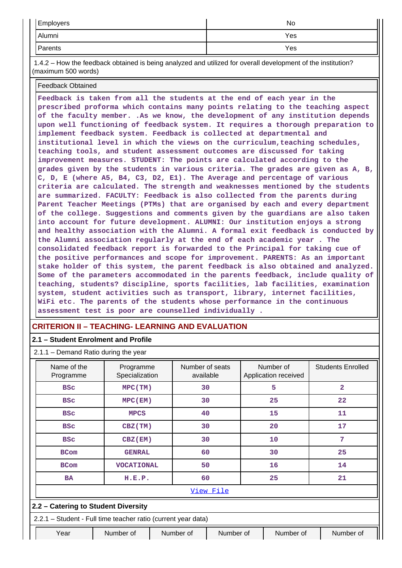| <b>Employers</b> | No  |
|------------------|-----|
| Alumni           | Yes |
| Parents          | Yes |

 1.4.2 – How the feedback obtained is being analyzed and utilized for overall development of the institution? (maximum 500 words)

Feedback Obtained

**Feedback is taken from all the students at the end of each year in the prescribed proforma which contains many points relating to the teaching aspect of the faculty member. .As we know, the development of any institution depends upon well functioning of feedback system. It requires a thorough preparation to implement feedback system. Feedback is collected at departmental and institutional level in which the views on the curriculum,teaching schedules, teaching tools, and student assessment outcomes are discussed for taking improvement measures. STUDENT: The points are calculated according to the grades given by the students in various criteria. The grades are given as A, B, C, D, E (where A5, B4, C3, D2, E1). The Average and percentage of various criteria are calculated. The strength and weaknesses mentioned by the students are summarized. FACULTY: Feedback is also collected from the parents during Parent Teacher Meetings (PTMs) that are organised by each and every department of the college. Suggestions and comments given by the guardians are also taken into account for future development. ALUMNI: Our institution enjoys a strong and healthy association with the Alumni. A formal exit feedback is conducted by the Alumni association regularly at the end of each academic year . The consolidated feedback report is forwarded to the Principal for taking cue of the positive performances and scope for improvement. PARENTS: As an important stake holder of this system, the parent feedback is also obtained and analyzed. Some of the parameters accommodated in the parents feedback, include quality of teaching, students? discipline, sports facilities, lab facilities, examination system, student activities such as transport, library, internet facilities, WiFi etc. The parents of the students whose performance in the continuous assessment test is poor are counselled individually .**

# **CRITERION II – TEACHING- LEARNING AND EVALUATION**

### **2.1 – Student Enrolment and Profile**

| $2.1.1 -$ Demand Ratio during the year |                |        |
|----------------------------------------|----------------|--------|
| Name of the                            | Programme      | Number |
| <b>Drogrammo</b>                       | Conciplization | ovoil  |

| Name of the<br>Programme | Programme<br>Specialization                                   |  | Number of seats<br>available |  | Number of<br>Application received |  |           | <b>Students Enrolled</b> |   |  |  |  |   |  |                |
|--------------------------|---------------------------------------------------------------|--|------------------------------|--|-----------------------------------|--|-----------|--------------------------|---|--|--|--|---|--|----------------|
| <b>BSC</b>               | MPC(TM)                                                       |  | 30                           |  |                                   |  |           |                          |   |  |  |  | 5 |  | $\overline{2}$ |
| <b>BSC</b>               | MPC(EM)                                                       |  | 30                           |  | 25                                |  | 22        |                          |   |  |  |  |   |  |                |
| <b>BSC</b>               | <b>MPCS</b>                                                   |  | 40                           |  | 15                                |  | 11        |                          |   |  |  |  |   |  |                |
| <b>BSC</b>               | CBZ (TM)                                                      |  | 30                           |  | 20                                |  | 17        |                          |   |  |  |  |   |  |                |
| <b>BSC</b>               | CBZ(EM)                                                       |  | 30                           |  |                                   |  | 10        |                          | 7 |  |  |  |   |  |                |
| <b>BCom</b>              | <b>GENRAL</b>                                                 |  | 60                           |  | 30                                |  | 25        |                          |   |  |  |  |   |  |                |
| <b>BCom</b>              | <b>VOCATIONAL</b>                                             |  | 50                           |  | 16                                |  | 14        |                          |   |  |  |  |   |  |                |
| <b>BA</b>                | H.E.P.                                                        |  | 60                           |  | 25                                |  | 21        |                          |   |  |  |  |   |  |                |
|                          | View File                                                     |  |                              |  |                                   |  |           |                          |   |  |  |  |   |  |                |
|                          | 2.2 - Catering to Student Diversity                           |  |                              |  |                                   |  |           |                          |   |  |  |  |   |  |                |
|                          | 2.2.1 - Student - Full time teacher ratio (current year data) |  |                              |  |                                   |  |           |                          |   |  |  |  |   |  |                |
| Year                     | Number of                                                     |  | Number of                    |  | Number of<br>Number of            |  | Number of |                          |   |  |  |  |   |  |                |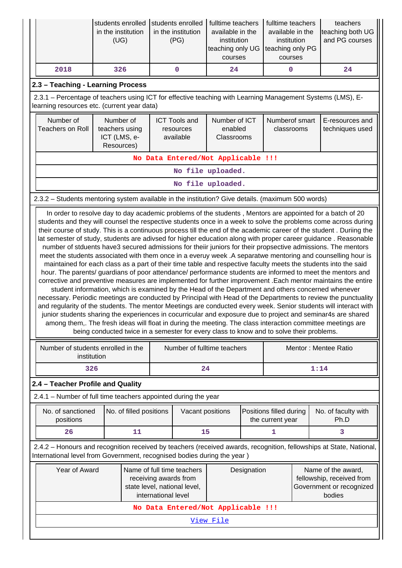|      | in the institution<br>(UG) | students enrolled Students enrolled   fulltime teachers<br>in the institution<br>(PG) | available in the<br>institution<br>teaching only UG teaching only PG<br>courses | fulltime teachers<br>available in the<br>institution<br>courses | teachers<br>teaching both UG<br>and PG courses |
|------|----------------------------|---------------------------------------------------------------------------------------|---------------------------------------------------------------------------------|-----------------------------------------------------------------|------------------------------------------------|
| 2018 | 326                        |                                                                                       | 24                                                                              |                                                                 | 24                                             |

# **2.3 – Teaching - Learning Process**

 2.3.1 – Percentage of teachers using ICT for effective teaching with Learning Management Systems (LMS), Elearning resources etc. (current year data)

| Number of<br>Teachers on Roll | Number of<br>teachers using<br>ICT (LMS, e-<br>Resources) | <b>ICT Tools and</b><br>resources<br>available | Number of ICT<br>enabled<br>Classrooms | Numberof smart<br>classrooms | E-resources and<br>techniques used |  |  |  |  |
|-------------------------------|-----------------------------------------------------------|------------------------------------------------|----------------------------------------|------------------------------|------------------------------------|--|--|--|--|
|                               |                                                           |                                                | No Data Entered/Not Applicable !!!     |                              |                                    |  |  |  |  |
|                               | No file uploaded.                                         |                                                |                                        |                              |                                    |  |  |  |  |
| No file uploaded.             |                                                           |                                                |                                        |                              |                                    |  |  |  |  |

# 2.3.2 – Students mentoring system available in the institution? Give details. (maximum 500 words)

 In order to resolve day to day academic problems of the students , Mentors are appointed for a batch of 20 students and they will counsel the respective students once in a week to solve the problems come across during their course of study. This is a continuous process till the end of the academic career of the student . Duriing the lat semester of study, students are adivsed for higher education along with proper career guidance . Reasonable number of stduents have3 secured admissions for theiir juniors for their propsective admissions. The mentors meet the students associated with them once in a everuy week .A separatwe mentoring and counselling hour is maintained for each class as a part of their time table and respective faculty meets the students into the said hour. The parents/ guardians of poor attendance/ performance students are informed to meet the mentors and corrective and preventive measures are implemented for further improvement .Each mentor maintains the entire student information, which is examined by the Head of the Department and others concerned whenever necessary. Periodic meetings are conducted by Principal with Head of the Departments to review the punctuality and regularity of the students. The mentor Meetings are conducted every week. Senior students will interact with junior students sharing the experiences in cocurricular and exposure due to project and seminar4s are shared among them,. The fresh ideas will float in during the meeting. The class interaction committee meetings are being conducted twice in a semester for every class to know and to solve their problems.

|                                                                                                                                                                                                | Number of students enrolled in the<br>institution |                                                                                                    |                                    | Number of fulltime teachers |                                             |      | Mentor: Mentee Ratio                                                        |                             |  |  |
|------------------------------------------------------------------------------------------------------------------------------------------------------------------------------------------------|---------------------------------------------------|----------------------------------------------------------------------------------------------------|------------------------------------|-----------------------------|---------------------------------------------|------|-----------------------------------------------------------------------------|-----------------------------|--|--|
| 326                                                                                                                                                                                            |                                                   |                                                                                                    |                                    | 24                          |                                             | 1:14 |                                                                             |                             |  |  |
| 2.4 – Teacher Profile and Quality                                                                                                                                                              |                                                   |                                                                                                    |                                    |                             |                                             |      |                                                                             |                             |  |  |
| 2.4.1 – Number of full time teachers appointed during the year                                                                                                                                 |                                                   |                                                                                                    |                                    |                             |                                             |      |                                                                             |                             |  |  |
| No. of sanctioned<br>No. of filled positions<br>positions                                                                                                                                      |                                                   |                                                                                                    | Vacant positions                   |                             | Positions filled during<br>the current year |      |                                                                             | No. of faculty with<br>Ph.D |  |  |
| 26                                                                                                                                                                                             | 11                                                |                                                                                                    | 15                                 |                             |                                             | 3    |                                                                             |                             |  |  |
| 2.4.2 – Honours and recognition received by teachers (received awards, recognition, fellowships at State, National,<br>International level from Government, recognised bodies during the year) |                                                   |                                                                                                    |                                    |                             |                                             |      |                                                                             |                             |  |  |
| Year of Award                                                                                                                                                                                  | international level                               | Name of full time teachers<br>Designation<br>receiving awards from<br>state level, national level, |                                    |                             | bodies                                      |      | Name of the award,<br>fellowship, received from<br>Government or recognized |                             |  |  |
|                                                                                                                                                                                                |                                                   |                                                                                                    | No Data Entered/Not Applicable !!! |                             |                                             |      |                                                                             |                             |  |  |
|                                                                                                                                                                                                |                                                   |                                                                                                    |                                    | <u>View File</u>            |                                             |      |                                                                             |                             |  |  |
|                                                                                                                                                                                                |                                                   |                                                                                                    |                                    |                             |                                             |      |                                                                             |                             |  |  |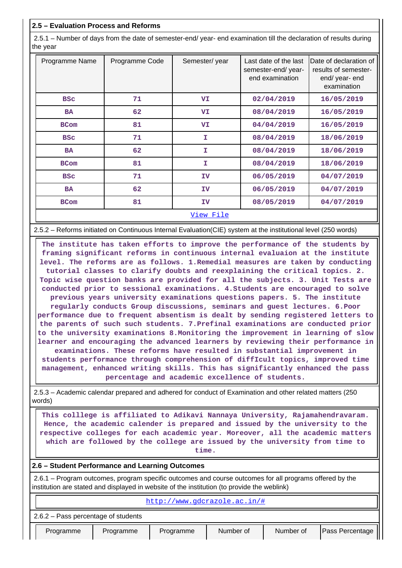# **2.5 – Evaluation Process and Reforms**

 2.5.1 – Number of days from the date of semester-end/ year- end examination till the declaration of results during the year

| Programme Name | Programme Code | Semester/year | Last date of the last<br>semester-end/year-<br>end examination | Date of declaration of<br>results of semester-<br>end/ year- end<br>examination |
|----------------|----------------|---------------|----------------------------------------------------------------|---------------------------------------------------------------------------------|
| <b>BSC</b>     | 71             | VI            | 02/04/2019                                                     | 16/05/2019                                                                      |
| <b>BA</b>      | 62             | <b>VI</b>     | 08/04/2019                                                     | 16/05/2019                                                                      |
| <b>BCom</b>    | 81             | VI            | 04/04/2019                                                     | 16/05/2019                                                                      |
| <b>BSC</b>     | 71             | I             | 08/04/2019                                                     | 18/06/2019                                                                      |
| <b>BA</b>      | 62             | T.            | 08/04/2019                                                     | 18/06/2019                                                                      |
| <b>BCom</b>    | 81             | T.            | 08/04/2019                                                     | 18/06/2019                                                                      |
| <b>BSC</b>     | 71             | IV            | 06/05/2019                                                     | 04/07/2019                                                                      |
| <b>BA</b>      | 62             | IV            | 06/05/2019                                                     | 04/07/2019                                                                      |
| <b>BCom</b>    | 81             | IV            | 08/05/2019                                                     | 04/07/2019                                                                      |
|                |                | View File     |                                                                |                                                                                 |

2.5.2 – Reforms initiated on Continuous Internal Evaluation(CIE) system at the institutional level (250 words)

 **The institute has taken efforts to improve the performance of the students by framing significant reforms in continuous internal evaluaion at the institute level. The reforms are as follows. 1.Remedial measures are taken by conducting tutorial classes to clarify doubts and reexplaining the critical topics. 2. Topic wise question banks are provided for all the subjects. 3. Unit Tests are conducted prior to sessional examinations. 4.Students are encouraged to solve previous years university examinations questions papers. 5. The institute regularly conducts Group discussions, seminars and guest lectures. 6.Poor performance due to frequent absentism is dealt by sending registered letters to the parents of such such students. 7.Prefinal examinations are conducted prior to the university examinations 8.Monitoring the improvement in learning of slow learner and encouraging the advanced learners by reviewing their performance in examinations. These reforms have resulted in substantial improvement in students performance through comprehension of diffIcult topics, improved time management, enhanced writing skills. This has significantly enhanced the pass percentage and academic excellence of students.**

 2.5.3 – Academic calendar prepared and adhered for conduct of Examination and other related matters (250 words)

 **This colllege is affiliated to Adikavi Nannaya University, Rajamahendravaram. Hence, the academic calender is prepared and issued by the university to the respective colleges for each academic year. Moreover, all the academic matters which are followed by the college are issued by the university from time to time.**

### **2.6 – Student Performance and Learning Outcomes**

 2.6.1 – Program outcomes, program specific outcomes and course outcomes for all programs offered by the institution are stated and displayed in website of the institution (to provide the weblink)

#### <http://www.gdcrazole.ac.in/#>

2.6.2 – Pass percentage of students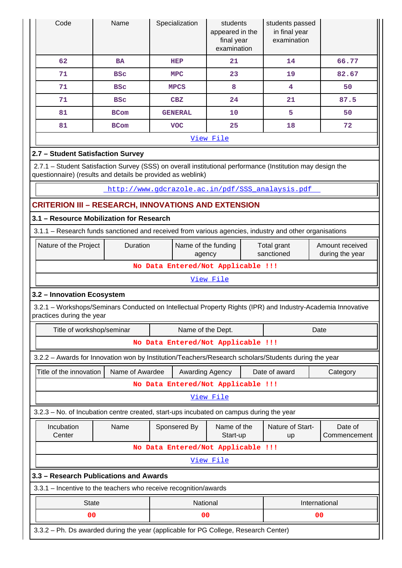| Code                                                                                                                                                                      | Name            |                               | Specialization    | students<br>appeared in the<br>final year<br>examination |                                                                 | students passed<br>in final year<br>examination |              |  |  |  |  |
|---------------------------------------------------------------------------------------------------------------------------------------------------------------------------|-----------------|-------------------------------|-------------------|----------------------------------------------------------|-----------------------------------------------------------------|-------------------------------------------------|--------------|--|--|--|--|
| 62                                                                                                                                                                        | <b>BA</b>       |                               | HEP               | 21                                                       |                                                                 | 14                                              | 66.77        |  |  |  |  |
| 71                                                                                                                                                                        | <b>BSC</b>      |                               | <b>MPC</b>        | 23                                                       |                                                                 | 19                                              | 82.67        |  |  |  |  |
| 71                                                                                                                                                                        | <b>BSC</b>      |                               | <b>MPCS</b>       | 8                                                        |                                                                 | 4                                               | 50           |  |  |  |  |
| 71                                                                                                                                                                        | <b>BSC</b>      |                               | CBZ               | 24                                                       |                                                                 | 21                                              | 87.5         |  |  |  |  |
| 81                                                                                                                                                                        | <b>BCom</b>     |                               | <b>GENERAL</b>    | 10                                                       |                                                                 | 5                                               | 50           |  |  |  |  |
| 81                                                                                                                                                                        | <b>BCom</b>     |                               | <b>VOC</b>        | 25                                                       |                                                                 | 18                                              | 72           |  |  |  |  |
|                                                                                                                                                                           |                 |                               |                   | View File                                                |                                                                 |                                                 |              |  |  |  |  |
| 2.7 - Student Satisfaction Survey                                                                                                                                         |                 |                               |                   |                                                          |                                                                 |                                                 |              |  |  |  |  |
| 2.7.1 - Student Satisfaction Survey (SSS) on overall institutional performance (Institution may design the<br>questionnaire) (results and details be provided as weblink) |                 |                               |                   |                                                          |                                                                 |                                                 |              |  |  |  |  |
| http://www.gdcrazole.ac.in/pdf/SSS analaysis.pdf                                                                                                                          |                 |                               |                   |                                                          |                                                                 |                                                 |              |  |  |  |  |
| <b>CRITERION III - RESEARCH, INNOVATIONS AND EXTENSION</b>                                                                                                                |                 |                               |                   |                                                          |                                                                 |                                                 |              |  |  |  |  |
| 3.1 - Resource Mobilization for Research                                                                                                                                  |                 |                               |                   |                                                          |                                                                 |                                                 |              |  |  |  |  |
| 3.1.1 - Research funds sanctioned and received from various agencies, industry and other organisations                                                                    |                 |                               |                   |                                                          |                                                                 |                                                 |              |  |  |  |  |
| Nature of the Project                                                                                                                                                     | Duration        | Name of the funding<br>agency |                   |                                                          | Total grant<br>Amount received<br>sanctioned<br>during the year |                                                 |              |  |  |  |  |
|                                                                                                                                                                           |                 |                               |                   | No Data Entered/Not Applicable !!!                       |                                                                 |                                                 |              |  |  |  |  |
|                                                                                                                                                                           |                 |                               |                   | View File                                                |                                                                 |                                                 |              |  |  |  |  |
| 3.2 - Innovation Ecosystem                                                                                                                                                |                 |                               |                   |                                                          |                                                                 |                                                 |              |  |  |  |  |
| 3.2.1 - Workshops/Seminars Conducted on Intellectual Property Rights (IPR) and Industry-Academia Innovative<br>practices during the year                                  |                 |                               |                   |                                                          |                                                                 |                                                 |              |  |  |  |  |
| Title of workshop/seminar                                                                                                                                                 |                 |                               | Name of the Dept. |                                                          |                                                                 |                                                 | Date         |  |  |  |  |
|                                                                                                                                                                           |                 |                               |                   | No Data Entered/Not Applicable !!!                       |                                                                 |                                                 |              |  |  |  |  |
| 3.2.2 - Awards for Innovation won by Institution/Teachers/Research scholars/Students during the year                                                                      |                 |                               |                   |                                                          |                                                                 |                                                 |              |  |  |  |  |
| Title of the innovation                                                                                                                                                   | Name of Awardee |                               | Awarding Agency   |                                                          |                                                                 | Date of award                                   | Category     |  |  |  |  |
|                                                                                                                                                                           |                 |                               |                   | No Data Entered/Not Applicable !!!                       |                                                                 |                                                 |              |  |  |  |  |
|                                                                                                                                                                           |                 |                               |                   | View File                                                |                                                                 |                                                 |              |  |  |  |  |
| 3.2.3 – No. of Incubation centre created, start-ups incubated on campus during the year                                                                                   |                 |                               |                   |                                                          |                                                                 |                                                 |              |  |  |  |  |
| Incubation                                                                                                                                                                | Name            |                               | Sponsered By      | Name of the                                              |                                                                 | Nature of Start-                                | Date of      |  |  |  |  |
| Center                                                                                                                                                                    |                 |                               |                   | Start-up                                                 |                                                                 | up                                              | Commencement |  |  |  |  |
|                                                                                                                                                                           |                 |                               |                   | No Data Entered/Not Applicable !!!                       |                                                                 |                                                 |              |  |  |  |  |
|                                                                                                                                                                           |                 |                               |                   | View File                                                |                                                                 |                                                 |              |  |  |  |  |
| 3.3 - Research Publications and Awards                                                                                                                                    |                 |                               |                   |                                                          |                                                                 |                                                 |              |  |  |  |  |
| 3.3.1 - Incentive to the teachers who receive recognition/awards                                                                                                          |                 |                               |                   |                                                          |                                                                 |                                                 |              |  |  |  |  |
| <b>State</b><br>International<br>National                                                                                                                                 |                 |                               |                   |                                                          |                                                                 |                                                 |              |  |  |  |  |
| 00                                                                                                                                                                        |                 |                               | 00                |                                                          |                                                                 |                                                 | 00           |  |  |  |  |
| 3.3.2 - Ph. Ds awarded during the year (applicable for PG College, Research Center)                                                                                       |                 |                               |                   |                                                          |                                                                 |                                                 |              |  |  |  |  |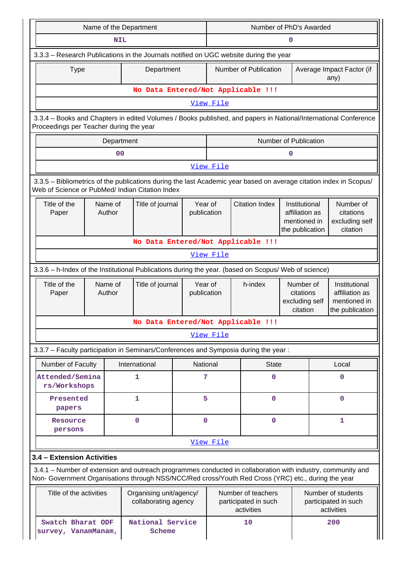|                                                                                                                                                                                                                    | Name of the Department                                                                                                                                     |                                                 |                        | Number of PhD's Awarded                                    |                                    |                                                                    |                                                                    |  |  |  |  |
|--------------------------------------------------------------------------------------------------------------------------------------------------------------------------------------------------------------------|------------------------------------------------------------------------------------------------------------------------------------------------------------|-------------------------------------------------|------------------------|------------------------------------------------------------|------------------------------------|--------------------------------------------------------------------|--------------------------------------------------------------------|--|--|--|--|
|                                                                                                                                                                                                                    | <b>NIL</b>                                                                                                                                                 |                                                 |                        | 0                                                          |                                    |                                                                    |                                                                    |  |  |  |  |
| 3.3.3 - Research Publications in the Journals notified on UGC website during the year                                                                                                                              |                                                                                                                                                            |                                                 |                        |                                                            |                                    |                                                                    |                                                                    |  |  |  |  |
| <b>Type</b>                                                                                                                                                                                                        |                                                                                                                                                            | Department                                      |                        | Number of Publication<br>Average Impact Factor (if<br>any) |                                    |                                                                    |                                                                    |  |  |  |  |
|                                                                                                                                                                                                                    |                                                                                                                                                            |                                                 |                        |                                                            | No Data Entered/Not Applicable !!! |                                                                    |                                                                    |  |  |  |  |
|                                                                                                                                                                                                                    |                                                                                                                                                            |                                                 |                        | View File                                                  |                                    |                                                                    |                                                                    |  |  |  |  |
|                                                                                                                                                                                                                    | 3.3.4 - Books and Chapters in edited Volumes / Books published, and papers in National/International Conference<br>Proceedings per Teacher during the year |                                                 |                        |                                                            |                                    |                                                                    |                                                                    |  |  |  |  |
|                                                                                                                                                                                                                    | Department                                                                                                                                                 |                                                 |                        |                                                            |                                    | Number of Publication                                              |                                                                    |  |  |  |  |
|                                                                                                                                                                                                                    | 0 <sub>0</sub>                                                                                                                                             |                                                 |                        |                                                            |                                    | 0                                                                  |                                                                    |  |  |  |  |
|                                                                                                                                                                                                                    |                                                                                                                                                            |                                                 |                        | View File                                                  |                                    |                                                                    |                                                                    |  |  |  |  |
| 3.3.5 - Bibliometrics of the publications during the last Academic year based on average citation index in Scopus/<br>Web of Science or PubMed/ Indian Citation Index                                              |                                                                                                                                                            |                                                 |                        |                                                            |                                    |                                                                    |                                                                    |  |  |  |  |
| Title of the<br>Paper                                                                                                                                                                                              | Name of<br>Title of journal<br>Author                                                                                                                      |                                                 |                        |                                                            | <b>Citation Index</b>              | Institutional<br>affiliation as<br>mentioned in<br>the publication | Number of<br>citations<br>excluding self<br>citation               |  |  |  |  |
|                                                                                                                                                                                                                    | No Data Entered/Not Applicable !!!                                                                                                                         |                                                 |                        |                                                            |                                    |                                                                    |                                                                    |  |  |  |  |
|                                                                                                                                                                                                                    | View File                                                                                                                                                  |                                                 |                        |                                                            |                                    |                                                                    |                                                                    |  |  |  |  |
| 3.3.6 - h-Index of the Institutional Publications during the year. (based on Scopus/ Web of science)                                                                                                               |                                                                                                                                                            |                                                 |                        |                                                            |                                    |                                                                    |                                                                    |  |  |  |  |
| Title of the<br>Paper                                                                                                                                                                                              | Name of<br>Author                                                                                                                                          | Title of journal                                | Year of<br>publication | h-index                                                    |                                    | Number of<br>citations<br>excluding self<br>citation               | Institutional<br>affiliation as<br>mentioned in<br>the publication |  |  |  |  |
|                                                                                                                                                                                                                    |                                                                                                                                                            |                                                 |                        |                                                            | No Data Entered/Not Applicable !!! |                                                                    |                                                                    |  |  |  |  |
|                                                                                                                                                                                                                    |                                                                                                                                                            |                                                 |                        | View File                                                  |                                    |                                                                    |                                                                    |  |  |  |  |
| 3.3.7 - Faculty participation in Seminars/Conferences and Symposia during the year:                                                                                                                                |                                                                                                                                                            |                                                 |                        |                                                            |                                    |                                                                    |                                                                    |  |  |  |  |
| Number of Faculty                                                                                                                                                                                                  |                                                                                                                                                            | International                                   | National               |                                                            | <b>State</b>                       |                                                                    | Local                                                              |  |  |  |  |
| Attended/Semina<br>rs/Workshops                                                                                                                                                                                    |                                                                                                                                                            | 1                                               | 7                      |                                                            | $\Omega$                           |                                                                    | 0                                                                  |  |  |  |  |
| Presented<br>papers                                                                                                                                                                                                |                                                                                                                                                            | 1                                               | 5                      |                                                            | $\mathbf 0$                        |                                                                    | $\mathbf 0$                                                        |  |  |  |  |
| Resource<br>persons                                                                                                                                                                                                |                                                                                                                                                            | 0                                               | $\mathbf 0$            |                                                            | $\mathbf 0$                        |                                                                    | 1                                                                  |  |  |  |  |
|                                                                                                                                                                                                                    |                                                                                                                                                            |                                                 |                        | View File                                                  |                                    |                                                                    |                                                                    |  |  |  |  |
| 3.4 - Extension Activities                                                                                                                                                                                         |                                                                                                                                                            |                                                 |                        |                                                            |                                    |                                                                    |                                                                    |  |  |  |  |
| 3.4.1 – Number of extension and outreach programmes conducted in collaboration with industry, community and<br>Non- Government Organisations through NSS/NCC/Red cross/Youth Red Cross (YRC) etc., during the year |                                                                                                                                                            |                                                 |                        |                                                            |                                    |                                                                    |                                                                    |  |  |  |  |
| Title of the activities                                                                                                                                                                                            |                                                                                                                                                            | Organising unit/agency/<br>collaborating agency |                        | Number of teachers<br>participated in such<br>activities   |                                    |                                                                    | Number of students<br>participated in such<br>activities           |  |  |  |  |
| Swatch Bharat ODF<br>survey, VanamManam,                                                                                                                                                                           |                                                                                                                                                            | National Service<br>Scheme                      |                        | 10                                                         |                                    |                                                                    | 200                                                                |  |  |  |  |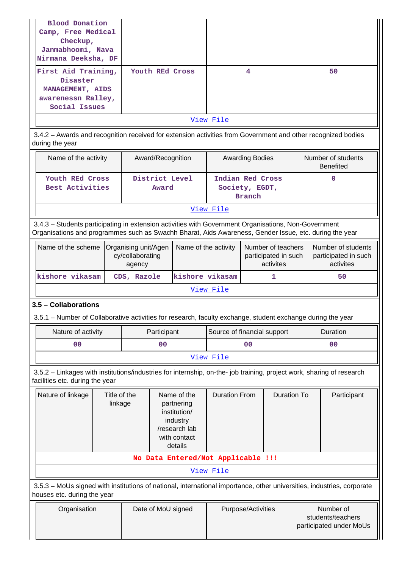| Blood Donation<br>Camp, Free Medical<br>Checkup,<br>Janmabhoomi, Nava<br>Nirmana Deeksha, DF<br>First Aid Training,                                                                                            |                                                    |             |                    | Youth REd Cross                                                                                   |                                                                                 | 4                               |   |                                                           | 50                                                      |  |  |
|----------------------------------------------------------------------------------------------------------------------------------------------------------------------------------------------------------------|----------------------------------------------------|-------------|--------------------|---------------------------------------------------------------------------------------------------|---------------------------------------------------------------------------------|---------------------------------|---|-----------------------------------------------------------|---------------------------------------------------------|--|--|
| Disaster<br>MANAGEMENT, AIDS<br>awarenessn Ralley,<br>Social Issues                                                                                                                                            |                                                    |             |                    |                                                                                                   |                                                                                 |                                 |   |                                                           |                                                         |  |  |
|                                                                                                                                                                                                                |                                                    |             |                    |                                                                                                   | View File                                                                       |                                 |   |                                                           |                                                         |  |  |
| 3.4.2 - Awards and recognition received for extension activities from Government and other recognized bodies<br>during the year                                                                                |                                                    |             |                    |                                                                                                   |                                                                                 |                                 |   |                                                           |                                                         |  |  |
| Name of the activity                                                                                                                                                                                           |                                                    |             | Award/Recognition  |                                                                                                   |                                                                                 | <b>Awarding Bodies</b>          |   |                                                           | Number of students<br><b>Benefited</b>                  |  |  |
|                                                                                                                                                                                                                | Youth REd Cross<br>Best Activities                 |             |                    | District Level<br>Award                                                                           | Indian Red Cross                                                                | Society, EGDT,<br><b>Branch</b> |   |                                                           | 0                                                       |  |  |
|                                                                                                                                                                                                                |                                                    |             |                    |                                                                                                   |                                                                                 |                                 |   |                                                           |                                                         |  |  |
| 3.4.3 - Students participating in extension activities with Government Organisations, Non-Government<br>Organisations and programmes such as Swachh Bharat, Aids Awareness, Gender Issue, etc. during the year |                                                    |             |                    |                                                                                                   |                                                                                 |                                 |   |                                                           |                                                         |  |  |
| Name of the scheme                                                                                                                                                                                             | Organising unit/Agen<br>cy/collaborating<br>agency |             |                    |                                                                                                   | Name of the activity<br>Number of teachers<br>participated in such<br>activites |                                 |   |                                                           | Number of students<br>participated in such<br>activites |  |  |
| kishore vikasam                                                                                                                                                                                                |                                                    | CDS, Razole |                    | kishore vikasam                                                                                   |                                                                                 |                                 | 1 |                                                           | 50                                                      |  |  |
|                                                                                                                                                                                                                |                                                    |             |                    |                                                                                                   | View File                                                                       |                                 |   |                                                           |                                                         |  |  |
| 3.5 - Collaborations                                                                                                                                                                                           |                                                    |             |                    |                                                                                                   |                                                                                 |                                 |   |                                                           |                                                         |  |  |
| 3.5.1 - Number of Collaborative activities for research, faculty exchange, student exchange during the year                                                                                                    |                                                    |             |                    |                                                                                                   |                                                                                 |                                 |   |                                                           |                                                         |  |  |
| Nature of activity                                                                                                                                                                                             |                                                    |             | Participant        |                                                                                                   | Source of financial support                                                     |                                 |   | Duration                                                  |                                                         |  |  |
| 00                                                                                                                                                                                                             |                                                    |             | 00                 |                                                                                                   | 00                                                                              |                                 |   | 00                                                        |                                                         |  |  |
|                                                                                                                                                                                                                |                                                    |             |                    |                                                                                                   | View File                                                                       |                                 |   |                                                           |                                                         |  |  |
| 3.5.2 - Linkages with institutions/industries for internship, on-the- job training, project work, sharing of research<br>facilities etc. during the year                                                       |                                                    |             |                    |                                                                                                   |                                                                                 |                                 |   |                                                           |                                                         |  |  |
| Nature of linkage                                                                                                                                                                                              | Title of the<br>linkage                            |             |                    | Name of the<br>partnering<br>institution/<br>industry<br>/research lab<br>with contact<br>details | <b>Duration To</b><br><b>Duration From</b>                                      |                                 |   | Participant                                               |                                                         |  |  |
|                                                                                                                                                                                                                |                                                    |             |                    | No Data Entered/Not Applicable !!!                                                                |                                                                                 |                                 |   |                                                           |                                                         |  |  |
|                                                                                                                                                                                                                |                                                    |             |                    |                                                                                                   | View File                                                                       |                                 |   |                                                           |                                                         |  |  |
| 3.5.3 - MoUs signed with institutions of national, international importance, other universities, industries, corporate<br>houses etc. during the year                                                          |                                                    |             |                    |                                                                                                   |                                                                                 |                                 |   |                                                           |                                                         |  |  |
| Organisation                                                                                                                                                                                                   |                                                    |             | Date of MoU signed |                                                                                                   |                                                                                 | Purpose/Activities              |   | Number of<br>students/teachers<br>participated under MoUs |                                                         |  |  |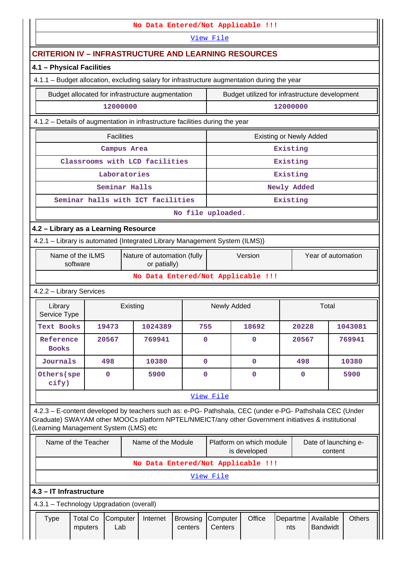|                                                                                                                                                                                                                                                         |                                                                                                           |          |                    |                            |                      | No Data Entered/Not Applicable !!!             |                                |             |                                 |               |
|---------------------------------------------------------------------------------------------------------------------------------------------------------------------------------------------------------------------------------------------------------|-----------------------------------------------------------------------------------------------------------|----------|--------------------|----------------------------|----------------------|------------------------------------------------|--------------------------------|-------------|---------------------------------|---------------|
|                                                                                                                                                                                                                                                         |                                                                                                           |          |                    |                            | View File            |                                                |                                |             |                                 |               |
| <b>CRITERION IV - INFRASTRUCTURE AND LEARNING RESOURCES</b>                                                                                                                                                                                             |                                                                                                           |          |                    |                            |                      |                                                |                                |             |                                 |               |
| 4.1 - Physical Facilities                                                                                                                                                                                                                               |                                                                                                           |          |                    |                            |                      |                                                |                                |             |                                 |               |
| 4.1.1 - Budget allocation, excluding salary for infrastructure augmentation during the year                                                                                                                                                             |                                                                                                           |          |                    |                            |                      |                                                |                                |             |                                 |               |
| Budget allocated for infrastructure augmentation                                                                                                                                                                                                        |                                                                                                           |          |                    |                            |                      | Budget utilized for infrastructure development |                                |             |                                 |               |
|                                                                                                                                                                                                                                                         | 12000000                                                                                                  |          |                    |                            |                      |                                                | 12000000                       |             |                                 |               |
| 4.1.2 - Details of augmentation in infrastructure facilities during the year                                                                                                                                                                            |                                                                                                           |          |                    |                            |                      |                                                |                                |             |                                 |               |
|                                                                                                                                                                                                                                                         | <b>Facilities</b>                                                                                         |          |                    |                            |                      |                                                | <b>Existing or Newly Added</b> |             |                                 |               |
|                                                                                                                                                                                                                                                         | Campus Area                                                                                               |          |                    |                            |                      |                                                | Existing                       |             |                                 |               |
|                                                                                                                                                                                                                                                         | Classrooms with LCD facilities                                                                            |          |                    |                            |                      |                                                | Existing                       |             |                                 |               |
|                                                                                                                                                                                                                                                         | Laboratories                                                                                              |          |                    |                            |                      |                                                | Existing                       |             |                                 |               |
|                                                                                                                                                                                                                                                         | Seminar Halls                                                                                             |          |                    |                            |                      |                                                |                                | Newly Added |                                 |               |
|                                                                                                                                                                                                                                                         | Seminar halls with ICT facilities                                                                         |          |                    |                            |                      |                                                | Existing                       |             |                                 |               |
| No file uploaded.                                                                                                                                                                                                                                       |                                                                                                           |          |                    |                            |                      |                                                |                                |             |                                 |               |
| 4.2 - Library as a Learning Resource                                                                                                                                                                                                                    |                                                                                                           |          |                    |                            |                      |                                                |                                |             |                                 |               |
|                                                                                                                                                                                                                                                         | 4.2.1 - Library is automated {Integrated Library Management System (ILMS)}<br>Nature of automation (fully |          |                    |                            |                      |                                                |                                |             |                                 |               |
| Name of the ILMS<br>software                                                                                                                                                                                                                            |                                                                                                           |          | or patially)       |                            |                      | Version                                        |                                |             | Year of automation              |               |
|                                                                                                                                                                                                                                                         |                                                                                                           |          |                    |                            |                      | No Data Entered/Not Applicable !!!             |                                |             |                                 |               |
| 4.2.2 - Library Services                                                                                                                                                                                                                                |                                                                                                           |          |                    |                            |                      |                                                |                                |             |                                 |               |
| Library<br>Service Type                                                                                                                                                                                                                                 |                                                                                                           | Existing |                    |                            | Newly Added<br>Total |                                                |                                |             |                                 |               |
| <b>Text Books</b>                                                                                                                                                                                                                                       | 19473                                                                                                     |          | 1024389            | 755                        | 18692                |                                                |                                | 20228       |                                 | 1043081       |
| Reference<br><b>Books</b>                                                                                                                                                                                                                               | 20567                                                                                                     |          | 769941             | $\mathbf 0$                |                      | 0                                              |                                | 20567       |                                 | 769941        |
| Journals                                                                                                                                                                                                                                                | 498                                                                                                       |          | 10380              | $\mathbf 0$                |                      | $\mathbf 0$                                    |                                | 498         |                                 | 10380         |
| Others (spe<br>cify)                                                                                                                                                                                                                                    | $\mathbf 0$                                                                                               |          | 5900               | $\mathbf 0$                |                      | $\mathbf 0$                                    |                                | $\mathbf 0$ |                                 | 5900          |
|                                                                                                                                                                                                                                                         |                                                                                                           |          |                    |                            | View File            |                                                |                                |             |                                 |               |
| 4.2.3 - E-content developed by teachers such as: e-PG- Pathshala, CEC (under e-PG- Pathshala CEC (Under<br>Graduate) SWAYAM other MOOCs platform NPTEL/NMEICT/any other Government initiatives & institutional<br>(Learning Management System (LMS) etc |                                                                                                           |          |                    |                            |                      |                                                |                                |             |                                 |               |
| Name of the Teacher                                                                                                                                                                                                                                     |                                                                                                           |          | Name of the Module |                            |                      | Platform on which module<br>is developed       |                                |             | Date of launching e-<br>content |               |
|                                                                                                                                                                                                                                                         |                                                                                                           |          |                    |                            |                      | No Data Entered/Not Applicable !!!             |                                |             |                                 |               |
|                                                                                                                                                                                                                                                         |                                                                                                           |          |                    |                            | View File            |                                                |                                |             |                                 |               |
| 4.3 - IT Infrastructure                                                                                                                                                                                                                                 |                                                                                                           |          |                    |                            |                      |                                                |                                |             |                                 |               |
| 4.3.1 - Technology Upgradation (overall)                                                                                                                                                                                                                |                                                                                                           |          |                    |                            |                      |                                                |                                |             |                                 |               |
| <b>Type</b>                                                                                                                                                                                                                                             | <b>Total Co</b><br>Computer<br>Lab<br>mputers                                                             |          | Internet           | <b>Browsing</b><br>centers | Computer<br>Centers  | Office                                         | Departme<br>nts                |             | Available<br><b>Bandwidt</b>    | <b>Others</b> |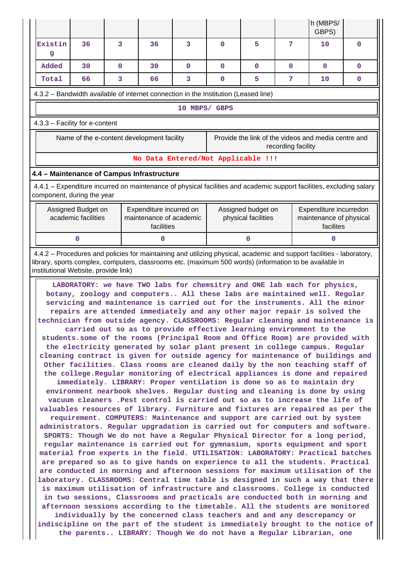|                                                                                                                                                                                                                                                                                                                                                                                                                                                                                                                                                                                                                                                                                                                                                                                                                                                                                                                                                                                                                                                                                                                                                                                                                                                                                                                                                                                                                                                                                                                                                                                                                                                                                                                                                                                                                                                                                                                                                                                                                                                                                                                                                                                                                                                                                                                                                         |                                                                                                                                                                                                                                  |              |                                                                  |               |              |                                           |                    | h (MBPS/<br>GBPS)                                                                                                    |             |  |  |
|---------------------------------------------------------------------------------------------------------------------------------------------------------------------------------------------------------------------------------------------------------------------------------------------------------------------------------------------------------------------------------------------------------------------------------------------------------------------------------------------------------------------------------------------------------------------------------------------------------------------------------------------------------------------------------------------------------------------------------------------------------------------------------------------------------------------------------------------------------------------------------------------------------------------------------------------------------------------------------------------------------------------------------------------------------------------------------------------------------------------------------------------------------------------------------------------------------------------------------------------------------------------------------------------------------------------------------------------------------------------------------------------------------------------------------------------------------------------------------------------------------------------------------------------------------------------------------------------------------------------------------------------------------------------------------------------------------------------------------------------------------------------------------------------------------------------------------------------------------------------------------------------------------------------------------------------------------------------------------------------------------------------------------------------------------------------------------------------------------------------------------------------------------------------------------------------------------------------------------------------------------------------------------------------------------------------------------------------------------|----------------------------------------------------------------------------------------------------------------------------------------------------------------------------------------------------------------------------------|--------------|------------------------------------------------------------------|---------------|--------------|-------------------------------------------|--------------------|----------------------------------------------------------------------------------------------------------------------|-------------|--|--|
| Existin<br>g                                                                                                                                                                                                                                                                                                                                                                                                                                                                                                                                                                                                                                                                                                                                                                                                                                                                                                                                                                                                                                                                                                                                                                                                                                                                                                                                                                                                                                                                                                                                                                                                                                                                                                                                                                                                                                                                                                                                                                                                                                                                                                                                                                                                                                                                                                                                            | 36                                                                                                                                                                                                                               | 3            | 36                                                               | 3             | $\mathbf{0}$ | 5                                         | 7                  | 10                                                                                                                   | $\mathbf 0$ |  |  |
| Added                                                                                                                                                                                                                                                                                                                                                                                                                                                                                                                                                                                                                                                                                                                                                                                                                                                                                                                                                                                                                                                                                                                                                                                                                                                                                                                                                                                                                                                                                                                                                                                                                                                                                                                                                                                                                                                                                                                                                                                                                                                                                                                                                                                                                                                                                                                                                   | 30                                                                                                                                                                                                                               | $\mathbf{0}$ | 30                                                               | $\mathbf{O}$  | $\mathbf 0$  | $\Omega$                                  | 0                  | $\mathbf{O}$                                                                                                         | $\Omega$    |  |  |
| Total                                                                                                                                                                                                                                                                                                                                                                                                                                                                                                                                                                                                                                                                                                                                                                                                                                                                                                                                                                                                                                                                                                                                                                                                                                                                                                                                                                                                                                                                                                                                                                                                                                                                                                                                                                                                                                                                                                                                                                                                                                                                                                                                                                                                                                                                                                                                                   | 66                                                                                                                                                                                                                               | 3            | 66                                                               | 3             | $\mathbf 0$  | 5                                         | 7                  | 10                                                                                                                   | 0           |  |  |
| 4.3.2 - Bandwidth available of internet connection in the Institution (Leased line)                                                                                                                                                                                                                                                                                                                                                                                                                                                                                                                                                                                                                                                                                                                                                                                                                                                                                                                                                                                                                                                                                                                                                                                                                                                                                                                                                                                                                                                                                                                                                                                                                                                                                                                                                                                                                                                                                                                                                                                                                                                                                                                                                                                                                                                                     |                                                                                                                                                                                                                                  |              |                                                                  |               |              |                                           |                    |                                                                                                                      |             |  |  |
|                                                                                                                                                                                                                                                                                                                                                                                                                                                                                                                                                                                                                                                                                                                                                                                                                                                                                                                                                                                                                                                                                                                                                                                                                                                                                                                                                                                                                                                                                                                                                                                                                                                                                                                                                                                                                                                                                                                                                                                                                                                                                                                                                                                                                                                                                                                                                         |                                                                                                                                                                                                                                  |              |                                                                  | 10 MBPS/ GBPS |              |                                           |                    |                                                                                                                      |             |  |  |
| 4.3.3 - Facility for e-content                                                                                                                                                                                                                                                                                                                                                                                                                                                                                                                                                                                                                                                                                                                                                                                                                                                                                                                                                                                                                                                                                                                                                                                                                                                                                                                                                                                                                                                                                                                                                                                                                                                                                                                                                                                                                                                                                                                                                                                                                                                                                                                                                                                                                                                                                                                          |                                                                                                                                                                                                                                  |              |                                                                  |               |              |                                           |                    |                                                                                                                      |             |  |  |
|                                                                                                                                                                                                                                                                                                                                                                                                                                                                                                                                                                                                                                                                                                                                                                                                                                                                                                                                                                                                                                                                                                                                                                                                                                                                                                                                                                                                                                                                                                                                                                                                                                                                                                                                                                                                                                                                                                                                                                                                                                                                                                                                                                                                                                                                                                                                                         | Name of the e-content development facility                                                                                                                                                                                       |              |                                                                  |               |              |                                           | recording facility | Provide the link of the videos and media centre and                                                                  |             |  |  |
| No Data Entered/Not Applicable !!!                                                                                                                                                                                                                                                                                                                                                                                                                                                                                                                                                                                                                                                                                                                                                                                                                                                                                                                                                                                                                                                                                                                                                                                                                                                                                                                                                                                                                                                                                                                                                                                                                                                                                                                                                                                                                                                                                                                                                                                                                                                                                                                                                                                                                                                                                                                      |                                                                                                                                                                                                                                  |              |                                                                  |               |              |                                           |                    |                                                                                                                      |             |  |  |
| 4.4 - Maintenance of Campus Infrastructure                                                                                                                                                                                                                                                                                                                                                                                                                                                                                                                                                                                                                                                                                                                                                                                                                                                                                                                                                                                                                                                                                                                                                                                                                                                                                                                                                                                                                                                                                                                                                                                                                                                                                                                                                                                                                                                                                                                                                                                                                                                                                                                                                                                                                                                                                                              |                                                                                                                                                                                                                                  |              |                                                                  |               |              |                                           |                    |                                                                                                                      |             |  |  |
| component, during the year                                                                                                                                                                                                                                                                                                                                                                                                                                                                                                                                                                                                                                                                                                                                                                                                                                                                                                                                                                                                                                                                                                                                                                                                                                                                                                                                                                                                                                                                                                                                                                                                                                                                                                                                                                                                                                                                                                                                                                                                                                                                                                                                                                                                                                                                                                                              |                                                                                                                                                                                                                                  |              |                                                                  |               |              |                                           |                    | 4.4.1 – Expenditure incurred on maintenance of physical facilities and academic support facilities, excluding salary |             |  |  |
|                                                                                                                                                                                                                                                                                                                                                                                                                                                                                                                                                                                                                                                                                                                                                                                                                                                                                                                                                                                                                                                                                                                                                                                                                                                                                                                                                                                                                                                                                                                                                                                                                                                                                                                                                                                                                                                                                                                                                                                                                                                                                                                                                                                                                                                                                                                                                         | Assigned Budget on<br>academic facilities                                                                                                                                                                                        |              | Expenditure incurred on<br>maintenance of academic<br>facilities |               |              | Assigned budget on<br>physical facilities |                    | Expenditure incurredon<br>maintenance of physical<br>facilites                                                       |             |  |  |
|                                                                                                                                                                                                                                                                                                                                                                                                                                                                                                                                                                                                                                                                                                                                                                                                                                                                                                                                                                                                                                                                                                                                                                                                                                                                                                                                                                                                                                                                                                                                                                                                                                                                                                                                                                                                                                                                                                                                                                                                                                                                                                                                                                                                                                                                                                                                                         | 0                                                                                                                                                                                                                                |              | 0                                                                |               | $\mathbf{0}$ |                                           |                    | $\mathbf 0$                                                                                                          |             |  |  |
|                                                                                                                                                                                                                                                                                                                                                                                                                                                                                                                                                                                                                                                                                                                                                                                                                                                                                                                                                                                                                                                                                                                                                                                                                                                                                                                                                                                                                                                                                                                                                                                                                                                                                                                                                                                                                                                                                                                                                                                                                                                                                                                                                                                                                                                                                                                                                         | 4.4.2 - Procedures and policies for maintaining and utilizing physical, academic and support facilities - laboratory,<br>library, sports complex, computers, classrooms etc. (maximum 500 words) (information to be available in |              |                                                                  |               |              |                                           |                    |                                                                                                                      |             |  |  |
| institutional Website, provide link)<br>LABORATORY: we have TWO labs for chemsitry and ONE lab each for physics,<br>botany, zoology and computers All these labs are maintained well. Regular<br>servicing and maintenance is carried out for the instruments. All the minor<br>repairs are attended immediately and any other major repair is solved the<br>technician from outside agency. CLASSROOMS: Regular cleaning and maintenance is  <br>carried out so as to provide effective learning environment to the<br>students.some of the rooms (Principal Room and Office Room) are provided with<br>the electricity generated by solar plant present in college campus. Regular<br>cleaning contract is given for outside agency for maintenance of buildings and<br>Other facilities. Class rooms are cleaned daily by the non teaching staff of<br>the college. Regular monitoring of electrical appliances is done and repaired<br>immediately. LIBRARY: Proper ventilation is done so as to maintain dry<br>environment nearbook shelves. Regular dusting and cleaning is done by using<br>vacuum cleaners .Pest control is carried out so as to increase the life of<br>valuables resources of library. Furniture and fixtures are repaired as per the<br>requirement. COMPUTERS: Maintenance and support are carried out by system<br>administrators. Regular upgradation is carried out for computers and software.<br>SPORTS: Though We do not have a Regular Physical Director for a long period,<br>regular maintenance is carried out for gymnasium, sports equipment and sport<br>material from experts in the field. UTILISATION: LABORATORY: Practical batches<br>are prepared so as to give hands on experience to all the students. Practical<br>are conducted in morning and afternoon sessions for maximum utilisation of the<br>laboratory. CLASSROOMS: Central time table is designed in such a way that there<br>is maximum utilisation of infrastructure and classrooms. College is conducted<br>in two sessions, Classrooms and practicals are conducted both in morning and<br>afternoon sessions according to the timetable. All the students are monitored<br>individually by the concerned class teachers and and any descrepancy or<br>indiscipline on the part of the student is immediately brought to the notice of |                                                                                                                                                                                                                                  |              |                                                                  |               |              |                                           |                    |                                                                                                                      |             |  |  |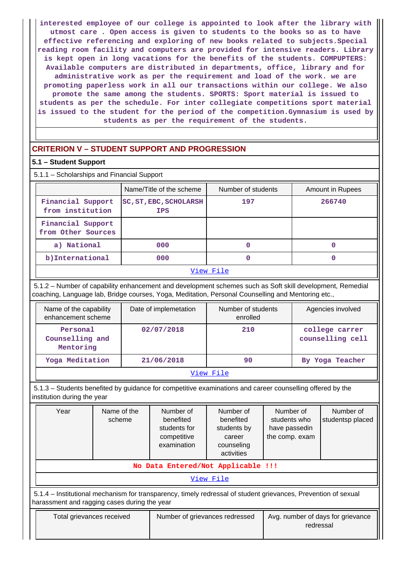**interested employee of our college is appointed to look after the library with utmost care . Open access is given to students to the books so as to have effective referencing and exploring of new books related to subjects.Special reading room facility and computers are provided for intensive readers. Library is kept open in long vacations for the benefits of the students. COMPUPTERS: Available computers are distributed in departments, office, library and for administrative work as per the requirement and load of the work. we are promoting paperless work in all our transactions within our college. We also promote the same among the students. SPORTS: Sport material is issued to students as per the schedule. For inter collegiate competitions sport material is issued to the student for the period of the competition.Gymnasium is used by students as per the requirement of the students.**

# **CRITERION V – STUDENT SUPPORT AND PROGRESSION**

# **5.1 – Student Support**

| 5.1.1 - Scholarships and Financial Support |                                             |                    |                  |
|--------------------------------------------|---------------------------------------------|--------------------|------------------|
|                                            | Name/Title of the scheme                    | Number of students | Amount in Rupees |
| Financial Support<br>from institution      | <b>SC, ST, EBC, SCHOLARSH</b><br><b>IPS</b> | 197                | 266740           |
| Financial Support<br>from Other Sources    |                                             |                    |                  |
| a) National                                | 000                                         | 0                  |                  |
| b) International                           | 000                                         | 0                  |                  |
|                                            |                                             | View File          |                  |

 5.1.2 – Number of capability enhancement and development schemes such as Soft skill development, Remedial coaching, Language lab, Bridge courses, Yoga, Meditation, Personal Counselling and Mentoring etc.,

| Name of the capability<br>enhancement scheme | Date of implemetation | Number of students<br>enrolled | Agencies involved                  |  |  |  |  |
|----------------------------------------------|-----------------------|--------------------------------|------------------------------------|--|--|--|--|
| Personal<br>Counselling and<br>Mentoring     | 02/07/2018            | 210                            | college carrer<br>counselling cell |  |  |  |  |
| Yoga Meditation                              | 21/06/2018            | 90                             | By Yoga Teacher                    |  |  |  |  |
| View File                                    |                       |                                |                                    |  |  |  |  |

 5.1.3 – Students benefited by guidance for competitive examinations and career counselling offered by the institution during the year

| Year                                                                                                                                                           | Name of the<br>scheme | Number of<br>benefited<br>students for<br>competitive<br>examination | Number of<br>benefited<br>students by<br>career<br>counseling<br>activities | Number of<br>students who<br>have passedin<br>the comp. exam | Number of<br>studentsp placed |  |  |  |  |  |
|----------------------------------------------------------------------------------------------------------------------------------------------------------------|-----------------------|----------------------------------------------------------------------|-----------------------------------------------------------------------------|--------------------------------------------------------------|-------------------------------|--|--|--|--|--|
| No Data Entered/Not Applicable !!!                                                                                                                             |                       |                                                                      |                                                                             |                                                              |                               |  |  |  |  |  |
|                                                                                                                                                                |                       |                                                                      | View File                                                                   |                                                              |                               |  |  |  |  |  |
| 5.1.4 - Institutional mechanism for transparency, timely redressal of student grievances, Prevention of sexual<br>harassment and ragging cases during the year |                       |                                                                      |                                                                             |                                                              |                               |  |  |  |  |  |
| Total grievances received                                                                                                                                      |                       | Number of grievances redressed                                       |                                                                             | Avg. number of days for grievance<br>redressal               |                               |  |  |  |  |  |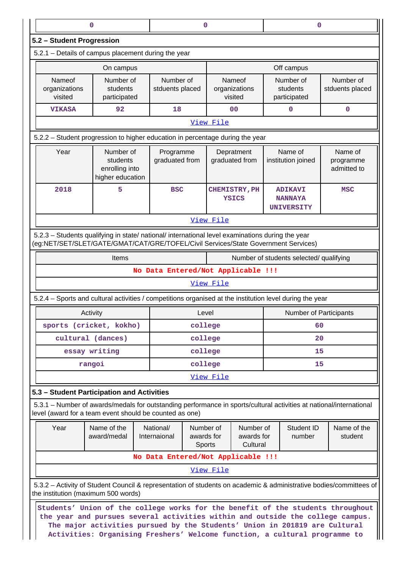|                                                                                                                                                                                        | $\mathbf 0$<br>0                                                                                                                                                                                                                                                                                                              |                                    |                                                                                                         |                                                                                        |                |                                       | 0                                       |                                                                                                                    |  |
|----------------------------------------------------------------------------------------------------------------------------------------------------------------------------------------|-------------------------------------------------------------------------------------------------------------------------------------------------------------------------------------------------------------------------------------------------------------------------------------------------------------------------------|------------------------------------|---------------------------------------------------------------------------------------------------------|----------------------------------------------------------------------------------------|----------------|---------------------------------------|-----------------------------------------|--------------------------------------------------------------------------------------------------------------------|--|
| 5.2 - Student Progression                                                                                                                                                              |                                                                                                                                                                                                                                                                                                                               |                                    |                                                                                                         |                                                                                        |                |                                       |                                         |                                                                                                                    |  |
| 5.2.1 - Details of campus placement during the year                                                                                                                                    |                                                                                                                                                                                                                                                                                                                               |                                    |                                                                                                         |                                                                                        |                |                                       |                                         |                                                                                                                    |  |
|                                                                                                                                                                                        | On campus                                                                                                                                                                                                                                                                                                                     |                                    |                                                                                                         |                                                                                        |                |                                       | Off campus                              |                                                                                                                    |  |
| Nameof<br>organizations<br>visited                                                                                                                                                     | Number of<br>students<br>participated                                                                                                                                                                                                                                                                                         |                                    | Number of<br>Nameof<br>stduents placed<br>organizations<br>visited                                      |                                                                                        |                | Number of<br>students<br>participated | Number of<br>stduents placed            |                                                                                                                    |  |
| <b>VIKASA</b>                                                                                                                                                                          | 92                                                                                                                                                                                                                                                                                                                            | 18                                 |                                                                                                         |                                                                                        | 0 <sub>0</sub> |                                       | $\mathbf 0$                             | $\mathbf 0$                                                                                                        |  |
| View File                                                                                                                                                                              |                                                                                                                                                                                                                                                                                                                               |                                    |                                                                                                         |                                                                                        |                |                                       |                                         |                                                                                                                    |  |
| 5.2.2 - Student progression to higher education in percentage during the year                                                                                                          |                                                                                                                                                                                                                                                                                                                               |                                    |                                                                                                         |                                                                                        |                |                                       |                                         |                                                                                                                    |  |
| Year                                                                                                                                                                                   | Number of<br>graduated from<br>students<br>enrolling into<br>higher education                                                                                                                                                                                                                                                 |                                    |                                                                                                         | Depratment<br>graduated from                                                           |                |                                       | Name of<br>institution joined           | Name of<br>programme<br>admitted to                                                                                |  |
| 2018                                                                                                                                                                                   | 5                                                                                                                                                                                                                                                                                                                             | <b>BSC</b>                         |                                                                                                         | CHEMISTRY, PH<br><b>ADIKAVI</b><br><b>YSICS</b><br><b>NANNAYA</b><br><b>UNIVERSITY</b> |                |                                       | <b>MSC</b>                              |                                                                                                                    |  |
|                                                                                                                                                                                        |                                                                                                                                                                                                                                                                                                                               |                                    |                                                                                                         | View File                                                                              |                |                                       |                                         |                                                                                                                    |  |
| 5.2.3 - Students qualifying in state/ national/ international level examinations during the year<br>(eg:NET/SET/SLET/GATE/GMAT/CAT/GRE/TOFEL/Civil Services/State Government Services) |                                                                                                                                                                                                                                                                                                                               |                                    |                                                                                                         |                                                                                        |                |                                       |                                         |                                                                                                                    |  |
|                                                                                                                                                                                        | Items                                                                                                                                                                                                                                                                                                                         |                                    |                                                                                                         |                                                                                        |                |                                       | Number of students selected/ qualifying |                                                                                                                    |  |
|                                                                                                                                                                                        |                                                                                                                                                                                                                                                                                                                               | No Data Entered/Not Applicable !!! |                                                                                                         |                                                                                        |                |                                       |                                         |                                                                                                                    |  |
|                                                                                                                                                                                        |                                                                                                                                                                                                                                                                                                                               |                                    |                                                                                                         | View File                                                                              |                |                                       |                                         |                                                                                                                    |  |
| 5.2.4 - Sports and cultural activities / competitions organised at the institution level during the year                                                                               |                                                                                                                                                                                                                                                                                                                               |                                    |                                                                                                         |                                                                                        |                |                                       |                                         |                                                                                                                    |  |
|                                                                                                                                                                                        | Activity                                                                                                                                                                                                                                                                                                                      |                                    | Level                                                                                                   |                                                                                        |                |                                       | <b>Number of Participants</b>           |                                                                                                                    |  |
|                                                                                                                                                                                        | sports (cricket, kokho)                                                                                                                                                                                                                                                                                                       |                                    | college                                                                                                 |                                                                                        |                |                                       | 60                                      |                                                                                                                    |  |
|                                                                                                                                                                                        | cultural (dances)                                                                                                                                                                                                                                                                                                             |                                    | college                                                                                                 |                                                                                        |                |                                       | 20                                      |                                                                                                                    |  |
|                                                                                                                                                                                        | essay writing                                                                                                                                                                                                                                                                                                                 |                                    | college                                                                                                 |                                                                                        |                | 15                                    |                                         |                                                                                                                    |  |
|                                                                                                                                                                                        | rangoi                                                                                                                                                                                                                                                                                                                        |                                    | college                                                                                                 |                                                                                        |                |                                       | 15                                      |                                                                                                                    |  |
|                                                                                                                                                                                        |                                                                                                                                                                                                                                                                                                                               |                                    |                                                                                                         | View File                                                                              |                |                                       |                                         |                                                                                                                    |  |
| 5.3 - Student Participation and Activities                                                                                                                                             |                                                                                                                                                                                                                                                                                                                               |                                    |                                                                                                         |                                                                                        |                |                                       |                                         |                                                                                                                    |  |
| 5.3.1 – Number of awards/medals for outstanding performance in sports/cultural activities at national/international<br>level (award for a team event should be counted as one)         |                                                                                                                                                                                                                                                                                                                               |                                    |                                                                                                         |                                                                                        |                |                                       |                                         |                                                                                                                    |  |
| Year                                                                                                                                                                                   | Name of the<br>award/medal                                                                                                                                                                                                                                                                                                    | National/<br>Internaional          | Number of<br>Number of<br>Student ID<br>awards for<br>awards for<br>number<br>Cultural<br><b>Sports</b> |                                                                                        |                |                                       | Name of the<br>student                  |                                                                                                                    |  |
|                                                                                                                                                                                        |                                                                                                                                                                                                                                                                                                                               | No Data Entered/Not Applicable !!! |                                                                                                         |                                                                                        |                |                                       |                                         |                                                                                                                    |  |
|                                                                                                                                                                                        |                                                                                                                                                                                                                                                                                                                               |                                    |                                                                                                         | View File                                                                              |                |                                       |                                         |                                                                                                                    |  |
| the institution (maximum 500 words)                                                                                                                                                    |                                                                                                                                                                                                                                                                                                                               |                                    |                                                                                                         |                                                                                        |                |                                       |                                         | 5.3.2 - Activity of Student Council & representation of students on academic & administrative bodies/committees of |  |
|                                                                                                                                                                                        | Students' Union of the college works for the benefit of the students throughout<br>the year and pursues several activities within and outside the college campus.<br>The major activities pursued by the Students' Union in 201819 are Cultural<br>Activities: Organising Freshers' Welcome function, a cultural programme to |                                    |                                                                                                         |                                                                                        |                |                                       |                                         |                                                                                                                    |  |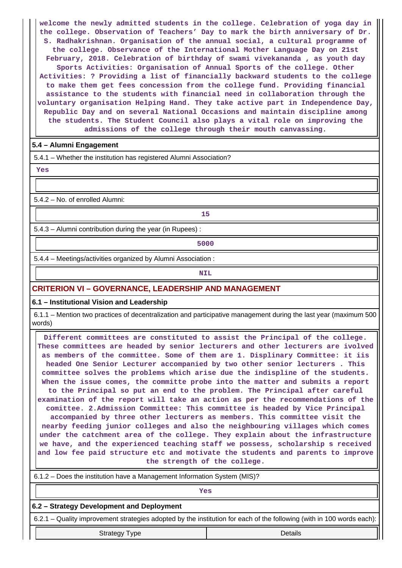**welcome the newly admitted students in the college. Celebration of yoga day in the college. Observation of Teachers' Day to mark the birth anniversary of Dr. S. Radhakrishnan. Organisation of the annual social, a cultural programme of the college. Observance of the International Mother Language Day on 21st February, 2018. Celebration of birthday of swami vivekananda , as youth day Sports Activities: Organisation of Annual Sports of the college. Other Activities: ? Providing a list of financially backward students to the college to make them get fees concession from the college fund. Providing financial assistance to the students with financial need in collaboration through the voluntary organisation Helping Hand. They take active part in Independence Day, Republic Day and on several National Occasions and maintain discipline among the students. The Student Council also plays a vital role on improving the admissions of the college through their mouth canvassing.**

# **5.4 – Alumni Engagement**

5.4.1 – Whether the institution has registered Alumni Association?

 **Yes**

5.4.2 – No. of enrolled Alumni:

**15** 

5.4.3 – Alumni contribution during the year (in Rupees) :

**1** 

5.4.4 – Meetings/activities organized by Alumni Association :

**NIL** 

# **CRITERION VI – GOVERNANCE, LEADERSHIP AND MANAGEMENT**

**6.1 – Institutional Vision and Leadership**

 6.1.1 – Mention two practices of decentralization and participative management during the last year (maximum 500 words)

 **Different committees are constituted to assist the Principal of the college. These committees are headed by senior lecturers and other lecturers are ivolved as members of the committee. Some of them are 1. Displinary Committee: it iis headed One Senior Lecturer accompanied by two other senior lecturers . This committee solves the problems which arise due the indispline of the students. When the issue comes, the committe probe into the matter and submits a report to the Principal so put an end to the problem. The Principal after careful examination of the report will take an action as per the recommendations of the comittee. 2.Admission Committee: This committee is headed by Vice Principal accompanied by three other lecturers as members. This committee visit the nearby feeding junior colleges and also the neighbouring villages which comes under the catchment area of the college. They explain about the infrastructure we have, and the experienced teaching staff we possess, scholarship s received and low fee paid structure etc and motivate the students and parents to improve the strength of the college.**

| 6.1.2 – Does the institution have a Management Information System (MIS)?                                             |         |  |  |  |  |  |  |  |
|----------------------------------------------------------------------------------------------------------------------|---------|--|--|--|--|--|--|--|
| Yes                                                                                                                  |         |  |  |  |  |  |  |  |
| 6.2 - Strategy Development and Deployment                                                                            |         |  |  |  |  |  |  |  |
| 6.2.1 – Quality improvement strategies adopted by the institution for each of the following (with in 100 words each) |         |  |  |  |  |  |  |  |
| <b>Strategy Type</b>                                                                                                 | Details |  |  |  |  |  |  |  |
|                                                                                                                      |         |  |  |  |  |  |  |  |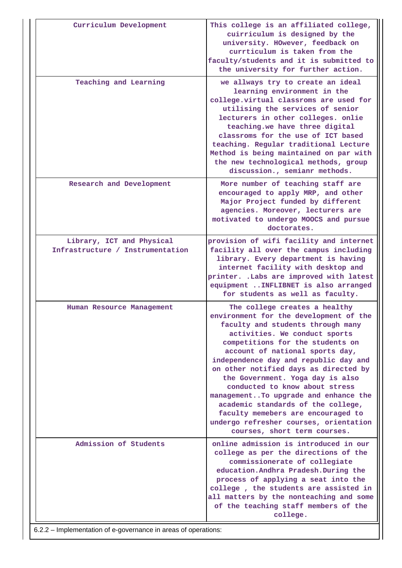| Curriculum Development                                         | This college is an affiliated college,<br>cuirriculum is designed by the<br>university. HOwever, feedback on<br>currticulum is taken from the<br>faculty/students and it is submitted to<br>the university for further action.                                                                                                                                                                                                                                                                                                                                             |
|----------------------------------------------------------------|----------------------------------------------------------------------------------------------------------------------------------------------------------------------------------------------------------------------------------------------------------------------------------------------------------------------------------------------------------------------------------------------------------------------------------------------------------------------------------------------------------------------------------------------------------------------------|
| Teaching and Learning                                          | we allways try to create an ideal<br>learning environment in the<br>college.virtual classroms are used for<br>utilising the services of senior<br>lecturers in other colleges. onlie<br>teaching.we have three digital<br>classroms for the use of ICT based<br>teaching. Regular traditional Lecture<br>Method is being maintained on par with<br>the new technological methods, group<br>discussion., semianr methods.                                                                                                                                                   |
| Research and Development                                       | More number of teaching staff are<br>encouraged to apply MRP, and other<br>Major Project funded by different<br>agencies. Moreover, lecturers are<br>motivated to undergo MOOCS and pursue<br>doctorates.                                                                                                                                                                                                                                                                                                                                                                  |
| Library, ICT and Physical<br>Infrastructure / Instrumentation  | provision of wifi facility and internet<br>facility all over the campus including<br>library. Every department is having<br>internet facility with desktop and<br>printer. . Labs are improved with latest<br>equipment  INFLIBNET is also arranged<br>for students as well as faculty.                                                                                                                                                                                                                                                                                    |
| Human Resource Management                                      | The college creates a healthy<br>environment for the development of the<br>faculty and students through many<br>activities. We conduct sports<br>competitions for the students on<br>account of national sports day,<br>independence day and republic day and<br>on other notified days as directed by<br>the Government. Yoga day is also<br>conducted to know about stress<br>managementTo upgrade and enhance the<br>academic standards of the college,<br>faculty memebers are encouraged to<br>undergo refresher courses, orientation<br>courses, short term courses. |
| Admission of Students                                          | online admission is introduced in our<br>college as per the directions of the<br>commissionerate of collegiate<br>education. Andhra Pradesh. During the<br>process of applying a seat into the<br>college, the students are assisted in<br>all matters by the nonteaching and some<br>of the teaching staff members of the<br>college.                                                                                                                                                                                                                                     |
| 6.2.2 – Implementation of e-governance in areas of operations: |                                                                                                                                                                                                                                                                                                                                                                                                                                                                                                                                                                            |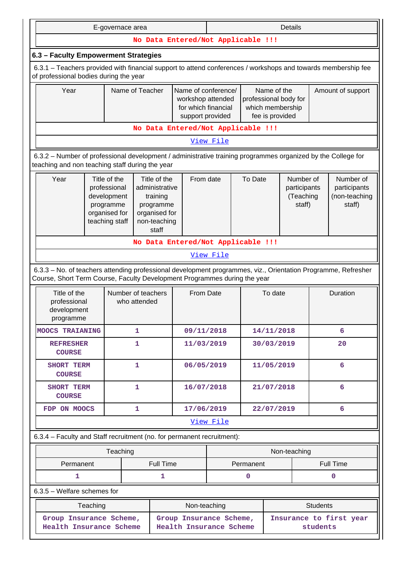|                                                                                                                                                                                            | Details<br>E-governace area                                                                                                                                                                                                                                                                                                          |                                    |                                                    |                                                                                                                                                                    |             |              |                   |                 |                         |
|--------------------------------------------------------------------------------------------------------------------------------------------------------------------------------------------|--------------------------------------------------------------------------------------------------------------------------------------------------------------------------------------------------------------------------------------------------------------------------------------------------------------------------------------|------------------------------------|----------------------------------------------------|--------------------------------------------------------------------------------------------------------------------------------------------------------------------|-------------|--------------|-------------------|-----------------|-------------------------|
| No Data Entered/Not Applicable !!!                                                                                                                                                         |                                                                                                                                                                                                                                                                                                                                      |                                    |                                                    |                                                                                                                                                                    |             |              |                   |                 |                         |
| 6.3 - Faculty Empowerment Strategies                                                                                                                                                       |                                                                                                                                                                                                                                                                                                                                      |                                    |                                                    |                                                                                                                                                                    |             |              |                   |                 |                         |
|                                                                                                                                                                                            | 6.3.1 – Teachers provided with financial support to attend conferences / workshops and towards membership fee<br>of professional bodies during the year                                                                                                                                                                              |                                    |                                                    |                                                                                                                                                                    |             |              |                   |                 |                         |
| Year<br>Name of Teacher                                                                                                                                                                    |                                                                                                                                                                                                                                                                                                                                      |                                    |                                                    | Name of conference/<br>Name of the<br>professional body for<br>workshop attended<br>for which financial<br>which membership<br>fee is provided<br>support provided |             |              | Amount of support |                 |                         |
| No Data Entered/Not Applicable !!!                                                                                                                                                         |                                                                                                                                                                                                                                                                                                                                      |                                    |                                                    |                                                                                                                                                                    |             |              |                   |                 |                         |
|                                                                                                                                                                                            |                                                                                                                                                                                                                                                                                                                                      |                                    |                                                    | View File                                                                                                                                                          |             |              |                   |                 |                         |
| 6.3.2 - Number of professional development / administrative training programmes organized by the College for<br>teaching and non teaching staff during the year                            |                                                                                                                                                                                                                                                                                                                                      |                                    |                                                    |                                                                                                                                                                    |             |              |                   |                 |                         |
| Year                                                                                                                                                                                       | Title of the<br>To Date<br>Number of<br>Number of<br>Title of the<br>From date<br>professional<br>administrative<br>participants<br>participants<br>development<br>(Teaching<br>(non-teaching<br>training<br>programme<br>programme<br>staff)<br>staff)<br>organised for<br>organised for<br>teaching staff<br>non-teaching<br>staff |                                    |                                                    |                                                                                                                                                                    |             |              |                   |                 |                         |
|                                                                                                                                                                                            |                                                                                                                                                                                                                                                                                                                                      | No Data Entered/Not Applicable !!! |                                                    |                                                                                                                                                                    |             |              |                   |                 |                         |
|                                                                                                                                                                                            |                                                                                                                                                                                                                                                                                                                                      |                                    |                                                    | View File                                                                                                                                                          |             |              |                   |                 |                         |
| 6.3.3 - No. of teachers attending professional development programmes, viz., Orientation Programme, Refresher<br>Course, Short Term Course, Faculty Development Programmes during the year |                                                                                                                                                                                                                                                                                                                                      |                                    |                                                    |                                                                                                                                                                    |             |              |                   |                 |                         |
| Title of the<br>professional<br>development<br>programme                                                                                                                                   |                                                                                                                                                                                                                                                                                                                                      | Number of teachers<br>who attended |                                                    | From Date                                                                                                                                                          |             | To date      |                   | Duration        |                         |
| <b>MOOCS TRAIANING</b>                                                                                                                                                                     |                                                                                                                                                                                                                                                                                                                                      | 1                                  | 09/11/2018                                         |                                                                                                                                                                    |             | 14/11/2018   |                   |                 | 6                       |
| <b>REFRESHER</b><br><b>COURSE</b>                                                                                                                                                          |                                                                                                                                                                                                                                                                                                                                      | 1                                  | 11/03/2019                                         |                                                                                                                                                                    |             | 30/03/2019   |                   |                 | 20                      |
| <b>SHORT TERM</b><br><b>COURSE</b>                                                                                                                                                         |                                                                                                                                                                                                                                                                                                                                      | 1                                  | 06/05/2019                                         |                                                                                                                                                                    |             | 11/05/2019   |                   |                 | 6                       |
| <b>SHORT TERM</b><br><b>COURSE</b>                                                                                                                                                         |                                                                                                                                                                                                                                                                                                                                      | 1                                  | 16/07/2018                                         |                                                                                                                                                                    |             | 21/07/2018   |                   |                 | 6                       |
| FDP ON MOOCS                                                                                                                                                                               |                                                                                                                                                                                                                                                                                                                                      | 1                                  | 17/06/2019                                         |                                                                                                                                                                    |             | 22/07/2019   |                   |                 | 6                       |
|                                                                                                                                                                                            |                                                                                                                                                                                                                                                                                                                                      |                                    |                                                    | View File                                                                                                                                                          |             |              |                   |                 |                         |
| 6.3.4 - Faculty and Staff recruitment (no. for permanent recruitment):                                                                                                                     |                                                                                                                                                                                                                                                                                                                                      |                                    |                                                    |                                                                                                                                                                    |             |              |                   |                 |                         |
|                                                                                                                                                                                            | Teaching                                                                                                                                                                                                                                                                                                                             |                                    |                                                    |                                                                                                                                                                    |             | Non-teaching |                   |                 |                         |
| Permanent                                                                                                                                                                                  |                                                                                                                                                                                                                                                                                                                                      | Full Time                          |                                                    |                                                                                                                                                                    | Permanent   |              |                   |                 | Full Time               |
| 1                                                                                                                                                                                          |                                                                                                                                                                                                                                                                                                                                      | 1                                  |                                                    |                                                                                                                                                                    | $\mathbf 0$ |              |                   |                 | 0                       |
| $6.3.5$ – Welfare schemes for                                                                                                                                                              |                                                                                                                                                                                                                                                                                                                                      |                                    |                                                    |                                                                                                                                                                    |             |              |                   |                 |                         |
| Teaching                                                                                                                                                                                   |                                                                                                                                                                                                                                                                                                                                      |                                    | Non-teaching                                       |                                                                                                                                                                    |             |              |                   | <b>Students</b> |                         |
| Group Insurance Scheme,<br>Health Insurance Scheme                                                                                                                                         |                                                                                                                                                                                                                                                                                                                                      |                                    | Group Insurance Scheme,<br>Health Insurance Scheme |                                                                                                                                                                    |             |              |                   | students        | Insurance to first year |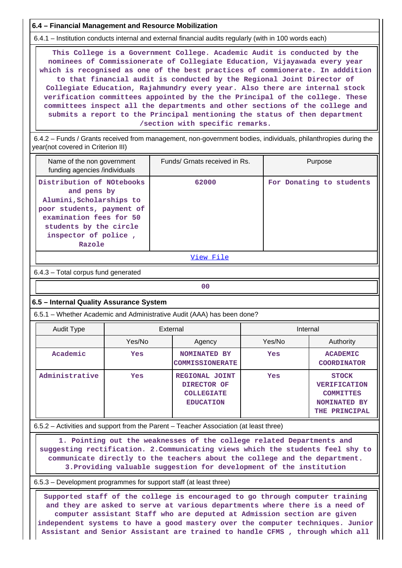**6.4 – Financial Management and Resource Mobilization**

6.4.1 – Institution conducts internal and external financial audits regularly (with in 100 words each)

 **This College is a Government College. Academic Audit is conducted by the nominees of Commissionerate of Collegiate Education, Vijayawada every year which is recognised as one of the best practices of commionerate. In adddition to that financial audit is conducted by the Regional Joint Director of Collegiate Education, Rajahmundry every year. Also there are internal stock verification committees appointed by the the Principal of the college. These committees inspect all the departments and other sections of the college and submits a report to the Principal mentioning the status of then department /section with specific remarks.**

 6.4.2 – Funds / Grants received from management, non-government bodies, individuals, philanthropies during the year(not covered in Criterion III)

| Name of the non government<br>funding agencies /individuals                                                                                                                              | Funds/ Grnats received in Rs. | Purpose                  |  |  |  |  |  |  |
|------------------------------------------------------------------------------------------------------------------------------------------------------------------------------------------|-------------------------------|--------------------------|--|--|--|--|--|--|
| Distribution of NOtebooks<br>and pens by<br>Alumini, Scholarships to<br>poor students, payment of<br>examination fees for 50<br>students by the circle<br>inspector of police,<br>Razole | 62000                         | For Donating to students |  |  |  |  |  |  |
|                                                                                                                                                                                          |                               |                          |  |  |  |  |  |  |

[View File](https://assessmentonline.naac.gov.in/public/Postacc/Funds_or_Grants/1132_Funds_or_Grants_1578667087.xlsx)

6.4.3 – Total corpus fund generated

**00**

# **6.5 – Internal Quality Assurance System**

6.5.1 – Whether Academic and Administrative Audit (AAA) has been done?

| Audit Type     |        | External                                                               | Internal |                                                                                                 |  |  |
|----------------|--------|------------------------------------------------------------------------|----------|-------------------------------------------------------------------------------------------------|--|--|
|                | Yes/No | Agency                                                                 | Yes/No   | Authority                                                                                       |  |  |
| Academic       | Yes    | <b>NOMINATED BY</b><br><b>COMMISSIONERATE</b>                          | Yes      | <b>ACADEMIC</b><br><b>COORDINATOR</b>                                                           |  |  |
| Administrative | Yes    | REGIONAL JOINT<br>DIRECTOR OF<br><b>COLLEGIATE</b><br><b>EDUCATION</b> | Yes      | <b>STOCK</b><br><b>VERIFICATION</b><br><b>COMMITTES</b><br><b>NOMINATED BY</b><br>THE PRINCIPAL |  |  |

# 6.5.2 – Activities and support from the Parent – Teacher Association (at least three)

 **1. Pointing out the weaknesses of the college related Departments and suggesting rectification. 2.Communicating views which the students feel shy to communicate directly to the teachers about the college and the department. 3.Providing valuable suggestion for development of the institution**

### 6.5.3 – Development programmes for support staff (at least three)

 **Supported staff of the college is encouraged to go through computer training and they are asked to serve at various departments where there is a need of computer assistant Staff who are deputed at Admission section are given independent systems to have a good mastery over the computer techniques. Junior Assistant and Senior Assistant are trained to handle CFMS , through which all**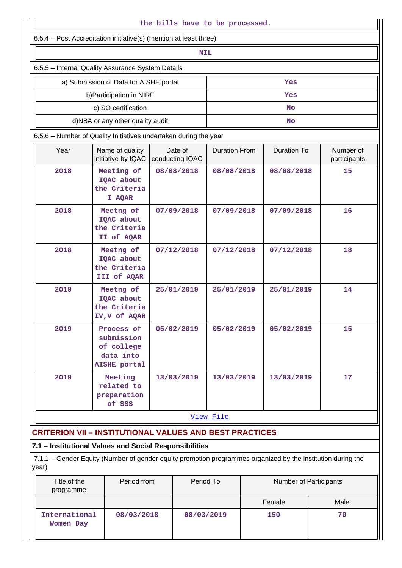| the bills have to be processed.                   |                                                                                                             |  |                            |                      |                        |                    |                           |  |  |  |
|---------------------------------------------------|-------------------------------------------------------------------------------------------------------------|--|----------------------------|----------------------|------------------------|--------------------|---------------------------|--|--|--|
|                                                   | 6.5.4 – Post Accreditation initiative(s) (mention at least three)                                           |  |                            |                      |                        |                    |                           |  |  |  |
|                                                   | <b>NIL</b>                                                                                                  |  |                            |                      |                        |                    |                           |  |  |  |
| 6.5.5 - Internal Quality Assurance System Details |                                                                                                             |  |                            |                      |                        |                    |                           |  |  |  |
|                                                   | a) Submission of Data for AISHE portal                                                                      |  |                            |                      |                        | Yes                |                           |  |  |  |
|                                                   | b) Participation in NIRF                                                                                    |  | Yes                        |                      |                        |                    |                           |  |  |  |
|                                                   | c)ISO certification                                                                                         |  |                            |                      |                        | No                 |                           |  |  |  |
|                                                   | d)NBA or any other quality audit                                                                            |  |                            |                      |                        | No                 |                           |  |  |  |
|                                                   | 6.5.6 - Number of Quality Initiatives undertaken during the year                                            |  |                            |                      |                        |                    |                           |  |  |  |
| Year                                              | Name of quality<br>initiative by IQAC                                                                       |  | Date of<br>conducting IQAC | <b>Duration From</b> |                        | <b>Duration To</b> | Number of<br>participants |  |  |  |
| 2018                                              | Meeting of<br>IQAC about<br>the Criteria<br>I AQAR                                                          |  | 08/08/2018                 | 08/08/2018           |                        | 08/08/2018         | 15                        |  |  |  |
| 2018                                              | Meetng of<br>IQAC about<br>the Criteria<br>II of AQAR                                                       |  | 07/09/2018                 | 07/09/2018           |                        | 07/09/2018         | 16                        |  |  |  |
| 2018                                              | Meetng of<br>IQAC about<br>the Criteria<br>III of AQAR                                                      |  | 07/12/2018                 | 07/12/2018           |                        | 07/12/2018         | 18                        |  |  |  |
| 2019                                              | Meetng of<br>IQAC about<br>the Criteria<br>IV, V of AQAR                                                    |  | 25/01/2019                 | 25/01/2019           |                        | 25/01/2019         | 14                        |  |  |  |
| 2019                                              | Process of<br>submission<br>of college<br>data into<br>AISHE portal                                         |  | 05/02/2019                 | 05/02/2019           |                        | 05/02/2019         | 15                        |  |  |  |
| 2019                                              | Meeting<br>related to<br>preparation<br>of SSS                                                              |  | 13/03/2019                 | 13/03/2019           |                        | 13/03/2019         | 17                        |  |  |  |
|                                                   |                                                                                                             |  |                            | View File            |                        |                    |                           |  |  |  |
|                                                   | <b>CRITERION VII - INSTITUTIONAL VALUES AND BEST PRACTICES</b>                                              |  |                            |                      |                        |                    |                           |  |  |  |
|                                                   | 7.1 - Institutional Values and Social Responsibilities                                                      |  |                            |                      |                        |                    |                           |  |  |  |
| year)                                             | 7.1.1 - Gender Equity (Number of gender equity promotion programmes organized by the institution during the |  |                            |                      |                        |                    |                           |  |  |  |
| Title of the<br>programme                         | Period from                                                                                                 |  | Period To                  |                      | Number of Participants |                    |                           |  |  |  |
|                                                   |                                                                                                             |  |                            |                      |                        | Female             | Male                      |  |  |  |
| International<br>08/03/2018<br>Women Day          |                                                                                                             |  |                            | 08/03/2019           |                        | 150                | 70                        |  |  |  |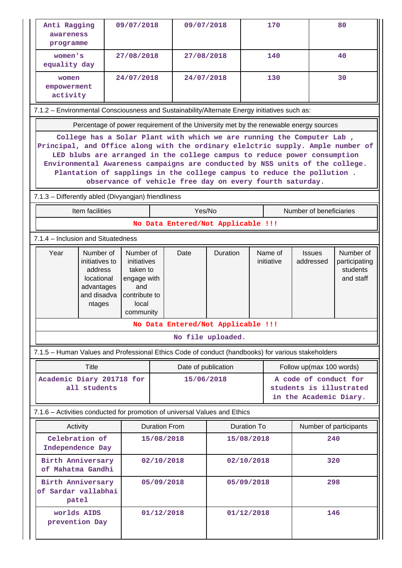| Anti Ragging<br>awareness<br>programme                                                                                                                                                                                                                                                                                                                                                                                                                     |                                                                                              | 09/07/2018                                                                                        |                      | 09/07/2018                         |                   | 170         |                       |                                                                            | 80                                                  |  |
|------------------------------------------------------------------------------------------------------------------------------------------------------------------------------------------------------------------------------------------------------------------------------------------------------------------------------------------------------------------------------------------------------------------------------------------------------------|----------------------------------------------------------------------------------------------|---------------------------------------------------------------------------------------------------|----------------------|------------------------------------|-------------------|-------------|-----------------------|----------------------------------------------------------------------------|-----------------------------------------------------|--|
| women's<br>equality day                                                                                                                                                                                                                                                                                                                                                                                                                                    |                                                                                              | 27/08/2018                                                                                        |                      | 27/08/2018                         |                   |             | 140                   |                                                                            | 40                                                  |  |
| women<br>empowerment<br>activity                                                                                                                                                                                                                                                                                                                                                                                                                           |                                                                                              | 24/07/2018                                                                                        |                      | 24/07/2018                         |                   | 130         |                       |                                                                            | 30                                                  |  |
|                                                                                                                                                                                                                                                                                                                                                                                                                                                            | 7.1.2 - Environmental Consciousness and Sustainability/Alternate Energy initiatives such as: |                                                                                                   |                      |                                    |                   |             |                       |                                                                            |                                                     |  |
|                                                                                                                                                                                                                                                                                                                                                                                                                                                            | Percentage of power requirement of the University met by the renewable energy sources        |                                                                                                   |                      |                                    |                   |             |                       |                                                                            |                                                     |  |
| College has a Solar Plant with which we are running the Computer Lab,<br>Principal, and Office along with the ordinary elelctric supply. Ample number of<br>LED blubs are arranged in the college campus to reduce power consumption<br>Environmental Awareness campaigns are conducted by NSS units of the college.<br>Plantation of sapplings in the college campus to reduce the pollution.<br>observance of vehicle free day on every fourth saturday. |                                                                                              |                                                                                                   |                      |                                    |                   |             |                       |                                                                            |                                                     |  |
| 7.1.3 - Differently abled (Divyangjan) friendliness                                                                                                                                                                                                                                                                                                                                                                                                        |                                                                                              |                                                                                                   |                      |                                    |                   |             |                       |                                                                            |                                                     |  |
|                                                                                                                                                                                                                                                                                                                                                                                                                                                            | Item facilities                                                                              |                                                                                                   |                      | Yes/No                             |                   |             |                       | Number of beneficiaries                                                    |                                                     |  |
|                                                                                                                                                                                                                                                                                                                                                                                                                                                            |                                                                                              |                                                                                                   |                      | No Data Entered/Not Applicable !!! |                   |             |                       |                                                                            |                                                     |  |
| 7.1.4 – Inclusion and Situatedness                                                                                                                                                                                                                                                                                                                                                                                                                         |                                                                                              |                                                                                                   |                      |                                    |                   |             |                       |                                                                            |                                                     |  |
| Year                                                                                                                                                                                                                                                                                                                                                                                                                                                       | Number of<br>initiatives to<br>address<br>locational<br>advantages<br>and disadva<br>ntages  | Number of<br>initiatives<br>taken to<br>engage with<br>and<br>contribute to<br>local<br>community |                      | Date                               | Duration          |             | Name of<br>initiative | <b>Issues</b><br>addressed                                                 | Number of<br>participating<br>students<br>and staff |  |
|                                                                                                                                                                                                                                                                                                                                                                                                                                                            |                                                                                              |                                                                                                   |                      | No Data Entered/Not Applicable !!! |                   |             |                       |                                                                            |                                                     |  |
|                                                                                                                                                                                                                                                                                                                                                                                                                                                            |                                                                                              |                                                                                                   |                      |                                    | No file uploaded. |             |                       |                                                                            |                                                     |  |
| 7.1.5 - Human Values and Professional Ethics Code of conduct (handbooks) for various stakeholders                                                                                                                                                                                                                                                                                                                                                          |                                                                                              |                                                                                                   |                      |                                    |                   |             |                       |                                                                            |                                                     |  |
|                                                                                                                                                                                                                                                                                                                                                                                                                                                            | <b>Title</b>                                                                                 |                                                                                                   |                      | Date of publication                |                   |             |                       | Follow up(max 100 words)                                                   |                                                     |  |
| Academic Diary 201718 for                                                                                                                                                                                                                                                                                                                                                                                                                                  | all students                                                                                 |                                                                                                   |                      |                                    | 15/06/2018        |             |                       | A code of conduct for<br>students is illustrated<br>in the Academic Diary. |                                                     |  |
| 7.1.6 - Activities conducted for promotion of universal Values and Ethics                                                                                                                                                                                                                                                                                                                                                                                  |                                                                                              |                                                                                                   |                      |                                    |                   |             |                       |                                                                            |                                                     |  |
| Activity                                                                                                                                                                                                                                                                                                                                                                                                                                                   |                                                                                              |                                                                                                   | <b>Duration From</b> |                                    |                   | Duration To |                       | Number of participants                                                     |                                                     |  |
| Celebration of<br>Independence Day                                                                                                                                                                                                                                                                                                                                                                                                                         |                                                                                              |                                                                                                   | 15/08/2018           |                                    |                   | 15/08/2018  |                       | 240                                                                        |                                                     |  |
| Birth Anniversary<br>of Mahatma Gandhi                                                                                                                                                                                                                                                                                                                                                                                                                     |                                                                                              |                                                                                                   | 02/10/2018           |                                    |                   | 02/10/2018  |                       |                                                                            | 320                                                 |  |
| Birth Anniversary<br>of Sardar vallabhai<br>patel                                                                                                                                                                                                                                                                                                                                                                                                          |                                                                                              |                                                                                                   | 05/09/2018           |                                    |                   | 05/09/2018  |                       | 298                                                                        |                                                     |  |
| worlds AIDS<br>prevention Day                                                                                                                                                                                                                                                                                                                                                                                                                              |                                                                                              |                                                                                                   | 01/12/2018           |                                    | 01/12/2018        |             |                       |                                                                            | 146                                                 |  |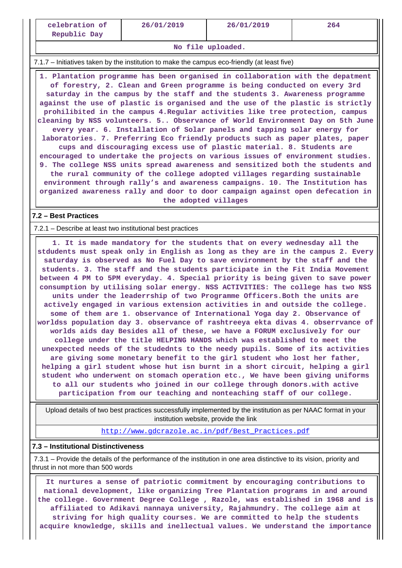#### **No file uploaded.**

7.1.7 – Initiatives taken by the institution to make the campus eco-friendly (at least five)

 **1. Plantation programme has been organised in collaboration with the depatment of forestry, 2. Clean and Green programme is being conducted on every 3rd saturday in the campus by the staff and the students 3. Awareness programme against the use of plastic is organised and the use of the plastic is strictly prohilibited in the campus 4.Regular activities like tree protection, campus cleaning by NSS volunteers. 5.. Observance of World Environment Day on 5th June every year. 6. Installation of Solar panels and tapping solar energy for laboratories. 7. Preferring Eco friendly products such as paper plates, paper cups and discouraging excess use of plastic material. 8. Students are encouraged to undertake the projects on various issues of environment studies. 9. The college NSS units spread awareness and sensitized both the students and the rural community of the college adopted villages regarding sustainable environment through rally's and awareness campaigns. 10. The Institution has organized awareness rally and door to door campaign against open defecation in the adopted villages**

# **7.2 – Best Practices**

### 7.2.1 – Describe at least two institutional best practices

 **1. It is made mandatory for the students that on every wednesday all the stdudents must speak only in English as long as they are in the campus 2. Every saturday is observed as No Fuel Day to save environment by the staff and the students. 3. The staff and the students participate in the Fit India Movement between 4 PM to 5PM everyday. 4. Special priority is being given to save power consumption by utilising solar energy. NSS ACTIVITIES: The college has two NSS units under the leaderrship of two Programme Officers.Both the units are actively engaged in various extension activities in and outside the college. some of them are 1. observance of International Yoga day 2. Observance of worldss population day 3. observance of rashtreeya ekta divas 4. obserrvance of worlds aids day Besides all of these, we have a FORUM exclusively for our college under the title HELPING HANDS which was established to meet the unexpected needs of the studednts to the needy pupils. Some of its activities are giving some monetary benefit to the girl student who lost her father, helping a girl student whose hut isn burnt in a short circuit, helping a girl student who underwent on stomach operation etc., We have been giving uniforms to all our students who joined in our college through donors.with active participation from our teaching and nonteaching staff of our college.**

 Upload details of two best practices successfully implemented by the institution as per NAAC format in your institution website, provide the link

[http://www.gdcrazole.ac.in/pdf/Best\\_Practices.pdf](http://www.gdcrazole.ac.in/pdf/Best_Practices.pdf)

# **7.3 – Institutional Distinctiveness**

 7.3.1 – Provide the details of the performance of the institution in one area distinctive to its vision, priority and thrust in not more than 500 words

 **It nurtures a sense of patriotic commitment by encouraging contributions to national development, like organizing Tree Plantation programs in and around the college. Government Degree College , Razole, was established in 1968 and is affiliated to Adikavi nannaya university, Rajahmundry. The college aim at striving for high quality courses. We are committed to help the students acquire knowledge, skills and inellectual values. We understand the importance**